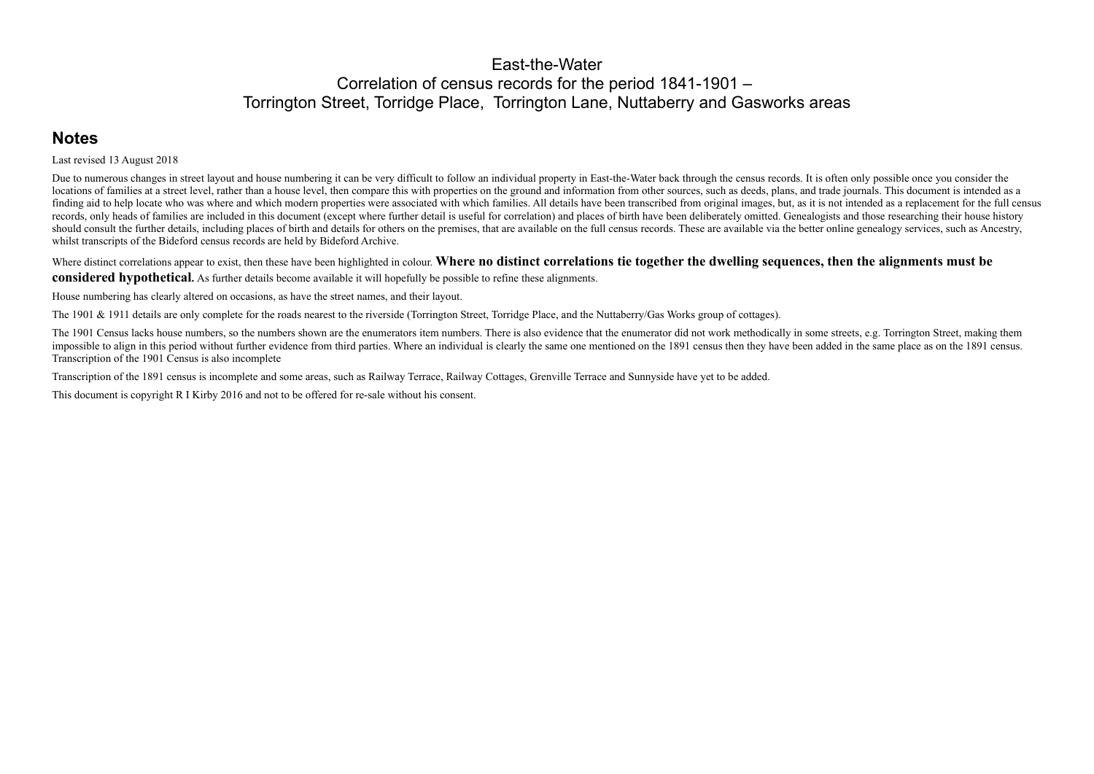#### East-the-Water Correlation of census records for the period 1841-1901 – Torrington Street, Torridge Place, Torrington Lane, Nuttaberry and Gasworks areas

## **Notes**

Last revised 13 August 2018

Due to numerous changes in street layout and house numbering it can be very difficult to follow an individual property in East-the-Water back through the census records. It is often only possible once you consider the locations of families at a street level, rather than a house level, then compare this with properties on the ground and information from other sources, such as deeds, plans, and trade journals. This document is intended as finding aid to help locate who was where and which modern properties were associated with which families. All details have been transcribed from original images, but, as it is not intended as a replacement for the full cen records, only heads of families are included in this document (except where further detail is useful for correlation) and places of birth have been deliberately omitted. Genealogists and those researching their house histo should consult the further details, including places of birth and details for others on the premises, that are available on the full census records. These are available via the better online genealogy services, such as Anc whilst transcripts of the Bideford census records are held by Bideford Archive.

Where distinct correlations appear to exist, then these have been highlighted in colour. Where no distinct correlations tie together the dwelling sequences, then the alignments must be **considered hypothetical.** As further details become available it will hopefully be possible to refine these alignments.

The 1901 Census lacks house numbers, so the numbers shown are the enumerators item numbers. There is also evidence that the enumerator did not work methodically in some streets, e.g. Torrington Street, making them impossible to align in this period without further evidence from third parties. Where an individual is clearly the same one mentioned on the 1891 census then they have been added in the same place as on the 1891 census. Transcription of the 1901 Census is also incomplete

House numbering has clearly altered on occasions, as have the street names, and their layout.

The 1901 & 1911 details are only complete for the roads nearest to the riverside (Torrington Street, Torridge Place, and the Nuttaberry/Gas Works group of cottages).

Transcription of the 1891 census is incomplete and some areas, such as Railway Terrace, Railway Cottages, Grenville Terrace and Sunnyside have yet to be added.

This document is copyright R I Kirby 2016 and not to be offered for re-sale without his consent.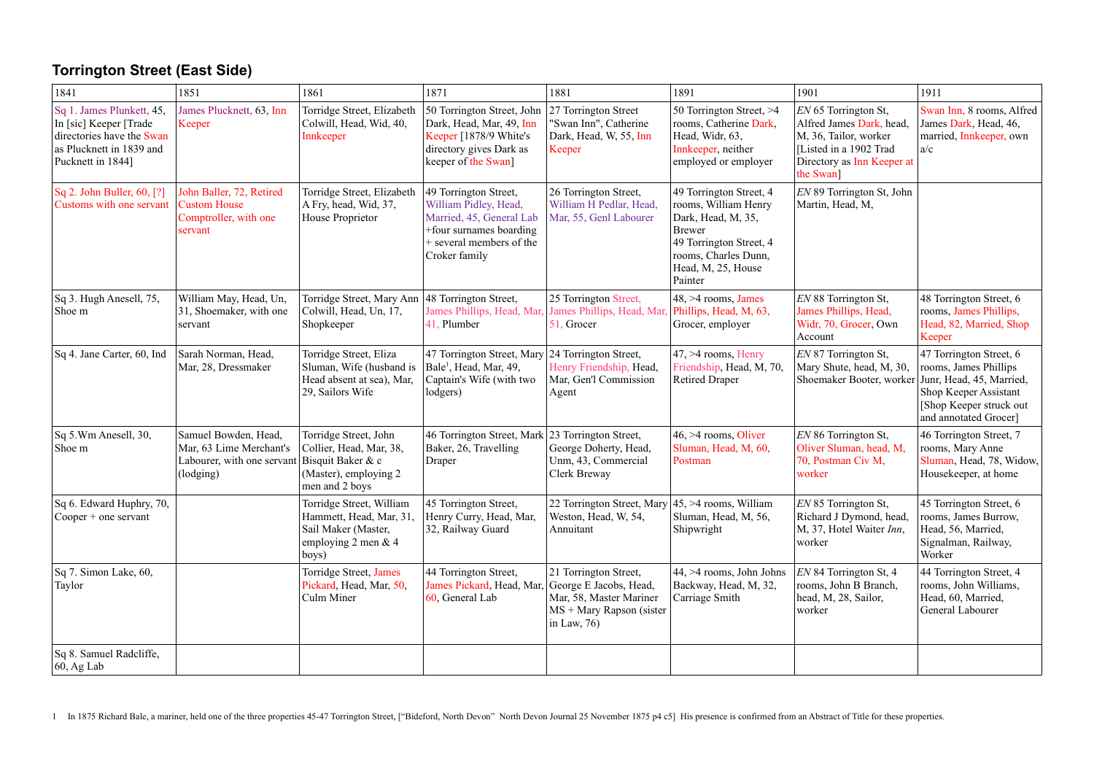## **Torrington Street (East Side)**

| 1841                                                                                                                              | 1851                                                                                       | 1861                                                                                                             | 1871                                                                                                                                               | 1881                                                                                                                        | 1891                                                                                                                                                                       | 1901                                                                                                                                           | 1911                                                                                                                                                      |
|-----------------------------------------------------------------------------------------------------------------------------------|--------------------------------------------------------------------------------------------|------------------------------------------------------------------------------------------------------------------|----------------------------------------------------------------------------------------------------------------------------------------------------|-----------------------------------------------------------------------------------------------------------------------------|----------------------------------------------------------------------------------------------------------------------------------------------------------------------------|------------------------------------------------------------------------------------------------------------------------------------------------|-----------------------------------------------------------------------------------------------------------------------------------------------------------|
| Sq 1. James Plunkett, 45,<br>In [sic] Keeper [Trade<br>directories have the Swan<br>as Plucknett in 1839 and<br>Pucknett in 1844] | James Plucknett, 63, Inn<br>Keeper                                                         | Torridge Street, Elizabeth<br>Colwill, Head, Wid, 40,<br>Innkeeper                                               | 50 Torrington Street, John<br>Dark, Head, Mar, 49, Inn<br>Keeper [1878/9 White's<br>directory gives Dark as<br>keeper of the Swan]                 | 27 Torrington Street<br>'Swan Inn", Catherine<br>Dark, Head, W, 55, Inn<br>Keeper                                           | 50 Torrington Street, >4<br>rooms, Catherine Dark,<br>Head, Widr, 63,<br>Innkeeper, neither<br>employed or employer                                                        | EN 65 Torrington St,<br>Alfred James Dark, head,<br>M, 36, Tailor, worker<br>[Listed in a 1902 Trad<br>Directory as Inn Keeper at<br>the Swan] | Swan Inn, 8 rooms, Alfred<br>James Dark, Head, 46,<br>married, Innkeeper, own<br>a/c                                                                      |
| Sq 2. John Buller, 60, [?]<br>Customs with one servant                                                                            | John Baller, 72, Retired<br><b>Custom House</b><br>Comptroller, with one<br>servant        | Torridge Street, Elizabeth<br>A Fry, head, Wid, 37,<br>House Proprietor                                          | 49 Torrington Street,<br>William Pidley, Head,<br>Married, 45, General Lab<br>+four surnames boarding<br>+ several members of the<br>Croker family | 26 Torrington Street,<br>William H Pedlar, Head,<br>Mar, 55, Genl Labourer                                                  | 49 Torrington Street, 4<br>rooms, William Henry<br>Dark, Head, M, 35,<br><b>Brewer</b><br>49 Torrington Street, 4<br>rooms, Charles Dunn,<br>Head, M, 25, House<br>Painter | EN 89 Torrington St, John<br>Martin, Head, M,                                                                                                  |                                                                                                                                                           |
| Sq 3. Hugh Anesell, 75,<br>Shoe m                                                                                                 | William May, Head, Un,<br>31, Shoemaker, with one<br>servant                               | Torridge Street, Mary Ann<br>Colwill, Head, Un, 17,<br>Shopkeeper                                                | 48 Torrington Street,<br>James Phillips, Head, Mar,<br>41, Plumber                                                                                 | 25 Torrington Street,<br>James Phillips, Head, Mar,<br>51, Grocer                                                           | $48, >4$ rooms, James<br>Phillips, Head, M, 63,<br>Grocer, employer                                                                                                        | EN 88 Torrington St,<br>James Phillips, Head,<br>Widr, 70, Grocer, Own<br>Account                                                              | 48 Torrington Street, 6<br>rooms, James Phillips,<br>Head, 82, Married, Shop<br>Keeper                                                                    |
| Sq 4. Jane Carter, 60, Ind                                                                                                        | Sarah Norman, Head,<br>Mar, 28, Dressmaker                                                 | Torridge Street, Eliza<br>Sluman, Wife (husband is<br>Head absent at sea), Mar,<br>29, Sailors Wife              | 47 Torrington Street, Mary<br>Bale <sup>1</sup> , Head, Mar, 49,<br>Captain's Wife (with two<br>lodgers)                                           | 24 Torrington Street,<br>Henry Friendship, Head,<br>Mar, Gen'l Commission<br>Agent                                          | $47, >4$ rooms, Henry<br>Friendship, Head, M, 70,<br><b>Retired Draper</b>                                                                                                 | EN 87 Torrington St,<br>Mary Shute, head, M, 30,<br>Shoemaker Booter, worker                                                                   | 47 Torrington Street, 6<br>rooms, James Phillips<br>Junr, Head, 45, Married,<br>Shop Keeper Assistant<br>[Shop Keeper struck out<br>and annotated Grocer] |
| Sq 5.Wm Anesell, 30,<br>Shoe m                                                                                                    | Samuel Bowden, Head,<br>Mar, 63 Lime Merchant's<br>Labourer, with one servant<br>(lodging) | Torridge Street, John<br>Collier, Head, Mar, 38,<br>Bisquit Baker & c<br>(Master), employing 2<br>men and 2 boys | 46 Torrington Street, Mark 23 Torrington Street,<br>Baker, 26, Travelling<br>Draper                                                                | George Doherty, Head,<br>Unm, 43, Commercial<br>Clerk Breway                                                                | $46, >4$ rooms, Oliver<br>Sluman, Head, M, 60,<br>Postman                                                                                                                  | EN 86 Torrington St,<br>Oliver Sluman, head, M,<br>70, Postman Civ M,<br>worker                                                                | 46 Torrington Street, 7<br>rooms, Mary Anne<br>Sluman, Head, 78, Widow,<br>Housekeeper, at home                                                           |
| Sq 6. Edward Huphry, 70,<br>$\text{Cooper} + \text{one}$ servant                                                                  |                                                                                            | Torridge Street, William<br>Hammett, Head, Mar, 31,<br>Sail Maker (Master,<br>employing 2 men $& 4$<br>boys)     | 45 Torrington Street,<br>Henry Curry, Head, Mar,<br>32, Railway Guard                                                                              | 22 Torrington Street, Mary 45, >4 rooms, William<br>Weston, Head, W, 54,<br>Annuitant                                       | Sluman, Head, M, 56,<br>Shipwright                                                                                                                                         | EN 85 Torrington St,<br>Richard J Dymond, head,<br>M, 37, Hotel Waiter Inn,<br>worker                                                          | 45 Torrington Street, 6<br>rooms, James Burrow,<br>Head, 56, Married,<br>Signalman, Railway,<br>Worker                                                    |
| Sq 7. Simon Lake, 60,<br>Taylor                                                                                                   |                                                                                            | Torridge Street, James<br>Pickard, Head, Mar, 50,<br>Culm Miner                                                  | 44 Torrington Street,<br>James Pickard, Head, Mar,<br>60, General Lab                                                                              | 21 Torrington Street,<br>George E Jacobs, Head,<br>Mar, 58, Master Mariner<br>$MS + Mary Rapson (sister)$<br>in Law, $76$ ) | $ 44, > 4$ rooms, John Johns<br>Backway, Head, M, 32,<br>Carriage Smith                                                                                                    | EN 84 Torrington St, 4<br>rooms, John B Branch,<br>head, M, 28, Sailor,<br>worker                                                              | 44 Torrington Street, 4<br>rooms, John Williams,<br>Head, 60, Married,<br>General Labourer                                                                |
| Sq 8. Samuel Radcliffe,<br>$\vert 60, \mathrm{Ag}\ \mathrm{Lab}$                                                                  |                                                                                            |                                                                                                                  |                                                                                                                                                    |                                                                                                                             |                                                                                                                                                                            |                                                                                                                                                |                                                                                                                                                           |

1 In 1875 Richard Bale, a mariner, held one of the three properties 45-47 Torrington Street, ["Bideford, North Devon" North Devon Journal 25 November 1875 p4 c5] His presence is confirmed from an Abstract of Title for thes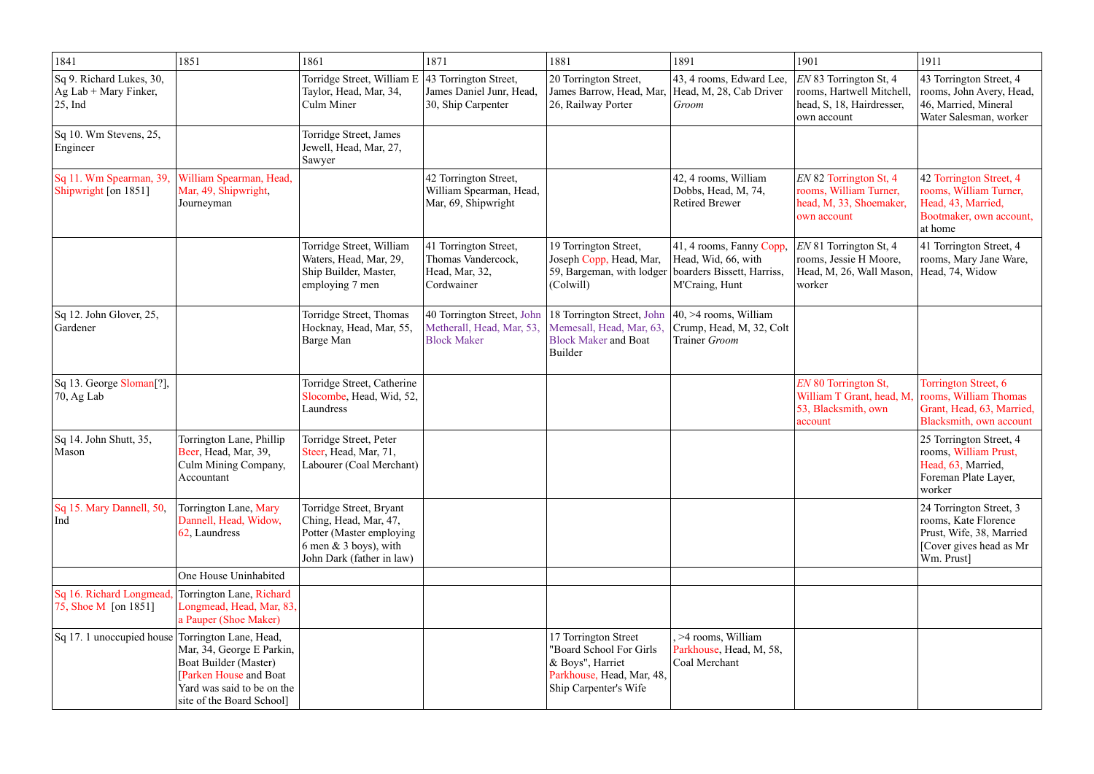| 1841                                                                            | 1851                                                                                                                                     | 1861                                                                                                                                  | 1871                                                                          | 1881                                                                                                                      | 1891                                                                                            | 1901                                                                                            | 1911                                                                                                                 |
|---------------------------------------------------------------------------------|------------------------------------------------------------------------------------------------------------------------------------------|---------------------------------------------------------------------------------------------------------------------------------------|-------------------------------------------------------------------------------|---------------------------------------------------------------------------------------------------------------------------|-------------------------------------------------------------------------------------------------|-------------------------------------------------------------------------------------------------|----------------------------------------------------------------------------------------------------------------------|
| Sq 9. Richard Lukes, 30,<br>$\vert$ Ag Lab + Mary Finker,<br>$ 25, \text{Ind} $ |                                                                                                                                          | Torridge Street, William E 43 Torrington Street,<br>Taylor, Head, Mar, 34,<br>Culm Miner                                              | James Daniel Junr, Head,<br>30, Ship Carpenter                                | 20 Torrington Street,<br>James Barrow, Head, Mar,<br>26, Railway Porter                                                   | 43, 4 rooms, Edward Lee,<br>Head, M, 28, Cab Driver<br>Groom                                    | EN 83 Torrington St, 4<br>rooms, Hartwell Mitchell,<br>head, S, 18, Hairdresser,<br>own account | 43 Torrington Street, 4<br>rooms, John Avery, Head,<br>46, Married, Mineral<br>Water Salesman, worker                |
| Sq 10. Wm Stevens, 25,<br>Engineer                                              |                                                                                                                                          | Torridge Street, James<br>Jewell, Head, Mar, 27,<br>Sawyer                                                                            |                                                                               |                                                                                                                           |                                                                                                 |                                                                                                 |                                                                                                                      |
| Sq 11. Wm Spearman, 39,<br>Shipwright [on 1851]                                 | William Spearman, Head,<br>Mar, 49, Shipwright,<br>Journeyman                                                                            |                                                                                                                                       | 42 Torrington Street,<br>William Spearman, Head,<br>Mar, 69, Shipwright       |                                                                                                                           | 42, 4 rooms, William<br>Dobbs, Head, M, 74,<br><b>Retired Brewer</b>                            | EN 82 Torrington St, 4<br>rooms, William Turner,<br>head, M, 33, Shoemaker,<br>own account      | 42 Torrington Street, 4<br>rooms, William Turner,<br>Head, 43, Married,<br>Bootmaker, own account,<br>at home        |
|                                                                                 |                                                                                                                                          | Torridge Street, William<br>Waters, Head, Mar, 29,<br>Ship Builder, Master,<br>employing 7 men                                        | 41 Torrington Street,<br>Thomas Vandercock,<br>Head, Mar, 32,<br>Cordwainer   | 19 Torrington Street,<br>Joseph Copp, Head, Mar,<br>59, Bargeman, with lodger<br>(Colwill)                                | 41, 4 rooms, Fanny Copp,<br>Head, Wid, 66, with<br>boarders Bissett, Harriss,<br>M'Craing, Hunt | EN 81 Torrington St, 4<br>rooms, Jessie H Moore,<br>Head, M, 26, Wall Mason,<br>worker          | 41 Torrington Street, 4<br>rooms, Mary Jane Ware,<br>Head, 74, Widow                                                 |
| Sq 12. John Glover, 25,<br>Gardener                                             |                                                                                                                                          | Torridge Street, Thomas<br>Hocknay, Head, Mar, 55,<br>Barge Man                                                                       | 40 Torrington Street, John<br>Metherall, Head, Mar, 53,<br><b>Block Maker</b> | 18 Torrington Street, John<br>Memesall, Head, Mar, 63.<br><b>Block Maker and Boat</b><br>Builder                          | $ 40, >4$ rooms, William<br>Crump, Head, M, 32, Colt<br>Trainer Groom                           |                                                                                                 |                                                                                                                      |
| Sq 13. George Sloman <sup>[?]</sup> ,<br>$ 70, Ag$ Lab                          |                                                                                                                                          | Torridge Street, Catherine<br>Slocombe, Head, Wid, 52,<br>Laundress                                                                   |                                                                               |                                                                                                                           |                                                                                                 | EN 80 Torrington St,<br>William T Grant, head, M.<br>53, Blacksmith, own<br>account             | Torrington Street, 6<br>rooms, William Thomas<br>Grant, Head, 63, Married,<br>Blacksmith, own account                |
| Sq 14. John Shutt, 35,<br>Mason                                                 | Torrington Lane, Phillip<br>Beer, Head, Mar, 39,<br>Culm Mining Company,<br>Accountant                                                   | Torridge Street, Peter<br>Steer, Head, Mar, 71,<br>Labourer (Coal Merchant)                                                           |                                                                               |                                                                                                                           |                                                                                                 |                                                                                                 | 25 Torrington Street, 4<br>rooms, William Prust,<br>Head, 63, Married,<br>Foreman Plate Layer,<br>worker             |
| Sq 15. Mary Dannell, 50,<br>  Ind                                               | Torrington Lane, Mary<br>Dannell, Head, Widow,<br>62, Laundress                                                                          | Torridge Street, Bryant<br>Ching, Head, Mar, 47,<br>Potter (Master employing<br>6 men $\&$ 3 boys), with<br>John Dark (father in law) |                                                                               |                                                                                                                           |                                                                                                 |                                                                                                 | 24 Torrington Street, 3<br>rooms, Kate Florence<br>Prust, Wife, 38, Married<br>[Cover gives head as Mr<br>Wm. Prust] |
|                                                                                 | One House Uninhabited                                                                                                                    |                                                                                                                                       |                                                                               |                                                                                                                           |                                                                                                 |                                                                                                 |                                                                                                                      |
| Sq 16. Richard Longmead,<br>75, Shoe M [on 1851]                                | Torrington Lane, Richard<br>Longmead, Head, Mar, 83,<br>a Pauper (Shoe Maker)                                                            |                                                                                                                                       |                                                                               |                                                                                                                           |                                                                                                 |                                                                                                 |                                                                                                                      |
| Sq 17. 1 unoccupied house Torrington Lane, Head,                                | Mar, 34, George E Parkin,<br>Boat Builder (Master)<br>[Parken House and Boat]<br>Yard was said to be on the<br>site of the Board School] |                                                                                                                                       |                                                                               | 17 Torrington Street<br>"Board School For Girls<br>& Boys", Harriet<br>Parkhouse, Head, Mar, 48,<br>Ship Carpenter's Wife | , >4 rooms, William<br>Parkhouse, Head, M, 58,<br>Coal Merchant                                 |                                                                                                 |                                                                                                                      |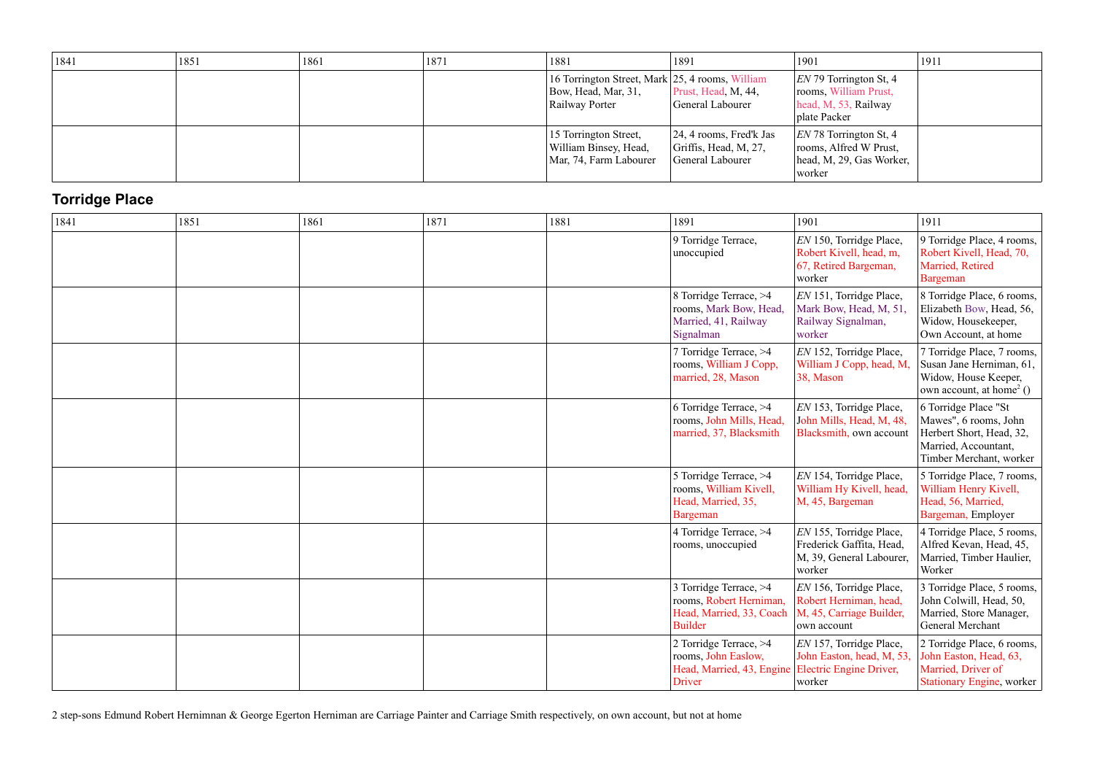| 1841 | 1851 | 1861 | 1871 | 1881                                                                                     | 1891                                                                       | 1901                                                                                       | 1911 |
|------|------|------|------|------------------------------------------------------------------------------------------|----------------------------------------------------------------------------|--------------------------------------------------------------------------------------------|------|
|      |      |      |      | 16 Torrington Street, Mark 25, 4 rooms, William<br>Bow, Head, Mar, 31,<br>Railway Porter | Prust, Head, M, 44,<br>General Labourer                                    | $ EN 79$ Torrington St, 4<br>rooms, William Prust,<br>head, M, 53, Railway<br>plate Packer |      |
|      |      |      |      | 15 Torrington Street,<br>William Binsey, Head,<br>Mar, 74, Farm Labourer                 | $ 24, 4$ rooms, Fred'k Jas<br>Griffis, Head, M, $27$ ,<br>General Labourer | $ EN 78$ Torrington St, 4<br>rooms, Alfred W Prust,<br>head, M, 29, Gas Worker,<br>worker  |      |

# **Torridge Place**

| 1841 | 1851 | 1861 | 1871 | 1881 | 1891                                                                                            | 1901                                                                                             | 1911                                                                                                                         |
|------|------|------|------|------|-------------------------------------------------------------------------------------------------|--------------------------------------------------------------------------------------------------|------------------------------------------------------------------------------------------------------------------------------|
|      |      |      |      |      | 9 Torridge Terrace,<br>unoccupied                                                               | EN 150, Torridge Place,<br>Robert Kivell, head, m,<br>67, Retired Bargeman,<br>worker            | 9 Torridge Place, 4 rooms,<br>Robert Kivell, Head, 70,<br>Married, Retired<br>Bargeman                                       |
|      |      |      |      |      | 8 Torridge Terrace, >4<br>rooms, Mark Bow, Head,<br>Married, 41, Railway<br>Signalman           | EN 151, Torridge Place,<br>Mark Bow, Head, M, 51,<br>Railway Signalman,<br>worker                | 8 Torridge Place, 6 rooms,<br>Elizabeth Bow, Head, 56,<br>Widow, Housekeeper,<br>Own Account, at home                        |
|      |      |      |      |      | 7 Torridge Terrace, >4<br>rooms, William J Copp,<br>married, 28, Mason                          | EN 152, Torridge Place,<br>William J Copp, head, M,<br>38, Mason                                 | 7 Torridge Place, 7 rooms,<br>Susan Jane Herniman, 61,<br>Widow, House Keeper,<br>own account, at home <sup>2</sup> $()$     |
|      |      |      |      |      | 6 Torridge Terrace, >4<br>rooms, John Mills, Head,<br>married, 37, Blacksmith                   | EN 153, Torridge Place,<br>John Mills, Head, M, 48,<br>Blacksmith, own account                   | 6 Torridge Place "St<br>Mawes", 6 rooms, John<br>Herbert Short, Head, 32,<br>Married, Accountant,<br>Timber Merchant, worker |
|      |      |      |      |      | 5 Torridge Terrace, >4<br>rooms, William Kivell,<br>Head, Married, 35,<br>Bargeman              | EN 154, Torridge Place,<br>William Hy Kivell, head,<br>M, 45, Bargeman                           | 5 Torridge Place, 7 rooms,<br>William Henry Kivell,<br>Head, 56, Married,<br>Bargeman, Employer                              |
|      |      |      |      |      | 4 Torridge Terrace, >4<br>rooms, unoccupied                                                     | EN 155, Torridge Place,<br>Frederick Gaffita, Head,<br>M, 39, General Labourer,<br>worker        | 4 Torridge Place, 5 rooms,<br>Alfred Kevan, Head, 45,<br>Married, Timber Haulier,<br>Worker                                  |
|      |      |      |      |      | 3 Torridge Terrace, >4<br>rooms, Robert Herniman,<br>Head, Married, 33, Coach<br><b>Builder</b> | EN 156, Torridge Place,<br>Robert Herniman, head,<br>M, 45, Carriage Builder,<br>own account     | 3 Torridge Place, 5 rooms,<br>John Colwill, Head, 50,<br>Married, Store Manager,<br>General Merchant                         |
|      |      |      |      |      | 2 Torridge Terrace, >4<br>rooms, John Easlow,<br>Head, Married, 43, Engine<br><b>Driver</b>     | EN 157, Torridge Place,<br>John Easton, head, M, 53,<br><b>Electric Engine Driver,</b><br>worker | 2 Torridge Place, 6 rooms,<br>John Easton, Head, 63,<br>Married, Driver of<br><b>Stationary Engine, worker</b>               |

2 step-sons Edmund Robert Hernimnan & George Egerton Herniman are Carriage Painter and Carriage Smith respectively, on own account, but not at home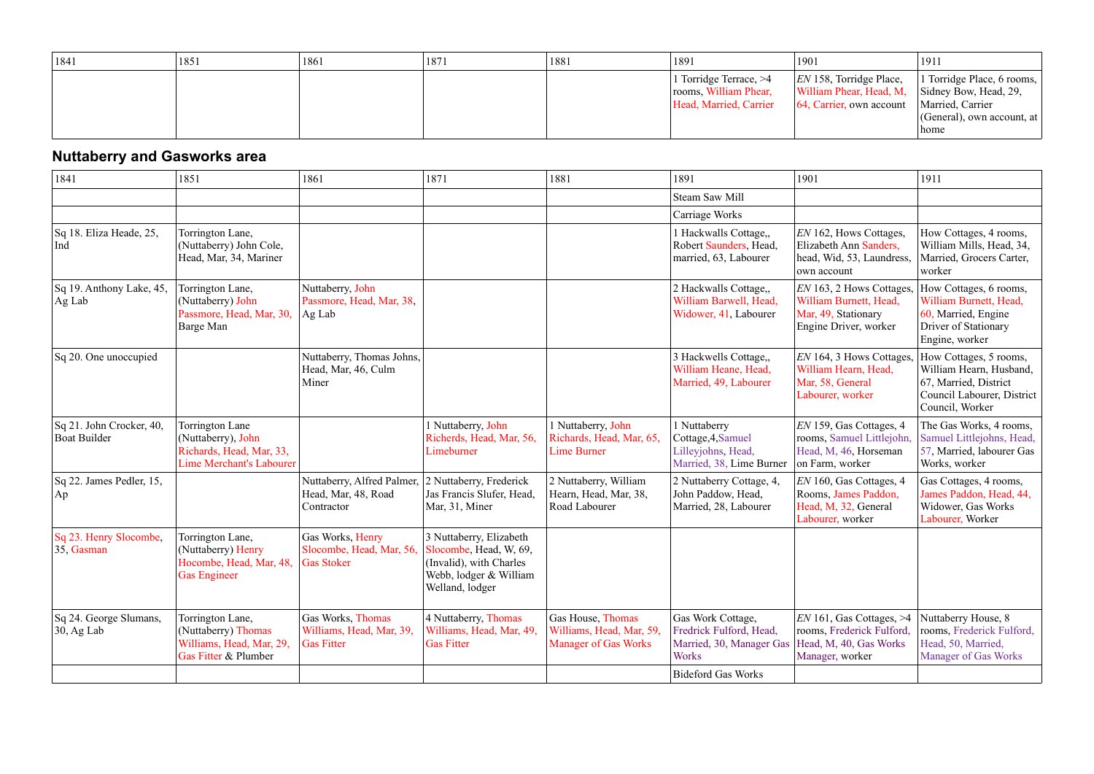| 1841 | 1851 | 1861 | 1871 | 1881 | 1891                                                                      | 1901                                                                                                                        | 1911                                                                     |
|------|------|------|------|------|---------------------------------------------------------------------------|-----------------------------------------------------------------------------------------------------------------------------|--------------------------------------------------------------------------|
|      |      |      |      |      | l Torridge Terrace, >4<br>rooms, William Phear,<br>Head, Married, Carrier | $ EN 158$ , Torridge Place,<br>William Phear, Head, M, Sidney Bow, Head, 29,<br>64, Carrier, own account   Married, Carrier | 1 Torridge Place, 6 rooms,<br>$ $ (General), own account, at $ $<br>home |

# **Nuttaberry and Gasworks area**

| 1841                                                                 | 1851                                                                                                 | 1861                                                               | 1871                                                                                                                      | 1881                                                                         | 1891                                                                                     | 1901                                                                                                   | 1911                                                                                                                        |
|----------------------------------------------------------------------|------------------------------------------------------------------------------------------------------|--------------------------------------------------------------------|---------------------------------------------------------------------------------------------------------------------------|------------------------------------------------------------------------------|------------------------------------------------------------------------------------------|--------------------------------------------------------------------------------------------------------|-----------------------------------------------------------------------------------------------------------------------------|
|                                                                      |                                                                                                      |                                                                    |                                                                                                                           |                                                                              | <b>Steam Saw Mill</b>                                                                    |                                                                                                        |                                                                                                                             |
|                                                                      |                                                                                                      |                                                                    |                                                                                                                           |                                                                              | Carriage Works                                                                           |                                                                                                        |                                                                                                                             |
| Sq 18. Eliza Heade, 25,<br>  Ind                                     | Torrington Lane,<br>(Nuttaberry) John Cole,<br>Head, Mar, 34, Mariner                                |                                                                    |                                                                                                                           |                                                                              | 1 Hackwalls Cottage,,<br>Robert Saunders, Head,<br>married, 63, Labourer                 | EN 162, Hows Cottages,<br>Elizabeth Ann Sanders,<br>head, Wid, 53, Laundress,<br>own account           | How Cottages, 4 rooms,<br>William Mills, Head, 34,<br>Married, Grocers Carter,<br>worker                                    |
| Sq 19. Anthony Lake, 45,<br>$\operatorname{Ag}\, \operatorname{Lab}$ | Torrington Lane,<br>(Nuttaberry) John<br>Passmore, Head, Mar, 30,<br>Barge Man                       | Nuttaberry, John<br>Passmore, Head, Mar, 38,<br>$\vert$ Ag Lab     |                                                                                                                           |                                                                              | 2 Hackwalls Cottage,,<br>William Barwell, Head,<br>Widower, 41, Labourer                 | EN 163, 2 Hows Cottages,<br>William Burnett, Head,<br>Mar, 49, Stationary<br>Engine Driver, worker     | How Cottages, 6 rooms,<br>William Burnett, Head,<br>60, Married, Engine<br>Driver of Stationary<br>Engine, worker           |
| Sq 20. One unoccupied                                                |                                                                                                      | Nuttaberry, Thomas Johns,<br>Head, Mar, 46, Culm<br>Miner          |                                                                                                                           |                                                                              | 3 Hackwells Cottage,,<br>William Heane, Head,<br>Married, 49, Labourer                   | EN 164, 3 Hows Cottages,<br>William Hearn, Head,<br>Mar, 58, General<br>Labourer, worker               | How Cottages, 5 rooms,<br>William Hearn, Husband,<br>67, Married, District<br>Council Labourer, District<br>Council, Worker |
| Sq 21. John Crocker, 40,<br><b>Boat Builder</b>                      | Torrington Lane<br>(Nuttaberry), John<br>Richards, Head, Mar, 33,<br><b>Lime Merchant's Labourer</b> |                                                                    | 1 Nuttaberry, John<br>Richerds, Head, Mar, 56,<br>Limeburner                                                              | 1 Nuttaberry, John<br>Richards, Head, Mar, 65.<br><b>Lime Burner</b>         | 1 Nuttaberry<br>Cottage, 4, Samuel<br>Lilleyjohns, Head,<br>Married, 38, Lime Burner     | EN 159, Gas Cottages, 4<br>rooms, Samuel Littlejohn,<br>Head, M, 46, Horseman<br>on Farm, worker       | The Gas Works, 4 rooms,<br>Samuel Littlejohns, Head,<br>57, Married, labourer Gas<br>Works, worker                          |
| Sq 22. James Pedler, 15,<br> Ap                                      |                                                                                                      | Nuttaberry, Alfred Palmer,<br>Head, Mar, 48, Road<br>Contractor    | 2 Nuttaberry, Frederick<br>Jas Francis Slufer, Head,<br>Mar, 31, Miner                                                    | 2 Nuttaberry, William<br>Hearn, Head, Mar, 38,<br>Road Labourer              | 2 Nuttaberry Cottage, 4,<br>John Paddow, Head,<br>Married, 28, Labourer                  | EN 160, Gas Cottages, 4<br>Rooms, James Paddon,<br>Head, M, 32, General<br>Labourer, worker            | Gas Cottages, 4 rooms,<br>James Paddon, Head, 44,<br>Widower, Gas Works<br>Labourer, Worker                                 |
| Sq 23. Henry Slocombe,<br>$ 35,$ Gasman                              | Torrington Lane,<br>(Nuttaberry) Henry<br>Hocombe, Head, Mar, 48,<br>Gas Engineer                    | Gas Works, Henry<br>Slocombe, Head, Mar, 56,<br><b>Gas Stoker</b>  | 3 Nuttaberry, Elizabeth<br>Slocombe, Head, W, 69,<br>(Invalid), with Charles<br>Webb, lodger & William<br>Welland, lodger |                                                                              |                                                                                          |                                                                                                        |                                                                                                                             |
| Sq 24. George Slumans,<br>$30$ , Ag Lab                              | Torrington Lane,<br>(Nuttaberry) Thomas<br>Williams, Head, Mar, 29,<br>Gas Fitter & Plumber          | Gas Works, Thomas<br>Williams, Head, Mar, 39,<br><b>Gas Fitter</b> | 4 Nuttaberry, Thomas<br>Williams, Head, Mar, 49,<br><b>Gas Fitter</b>                                                     | Gas House, Thomas<br>Williams, Head, Mar, 59,<br><b>Manager of Gas Works</b> | Gas Work Cottage,<br>Fredrick Fulford, Head,<br>Married, 30, Manager Gas<br><b>Works</b> | $EN$ 161, Gas Cottages, $>4$<br>rooms, Frederick Fulford,<br>Head, M, 40, Gas Works<br>Manager, worker | Nuttaberry House, 8<br>rooms, Frederick Fulford,<br>Head, 50, Married,<br><b>Manager of Gas Works</b>                       |
|                                                                      |                                                                                                      |                                                                    |                                                                                                                           |                                                                              | <b>Bideford Gas Works</b>                                                                |                                                                                                        |                                                                                                                             |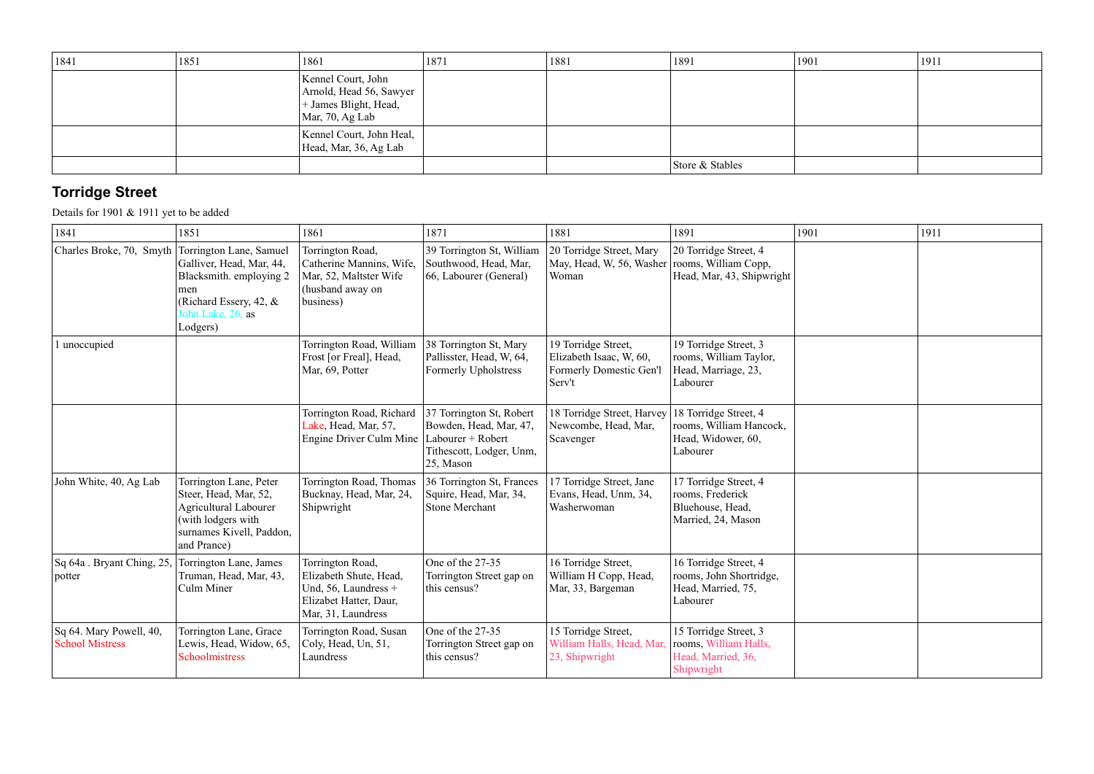| 1841 | 1851 | 1861                                                                                              | 1871 | 1881 | 1891            | 1901 | 1911 |
|------|------|---------------------------------------------------------------------------------------------------|------|------|-----------------|------|------|
|      |      | Kennel Court, John<br>Arnold, Head 56, Sawyer<br>+ James Blight, Head,<br>$\vert$ Mar, 70, Ag Lab |      |      |                 |      |      |
|      |      | Kennel Court, John Heal,<br>Head, Mar, 36, Ag Lab                                                 |      |      |                 |      |      |
|      |      |                                                                                                   |      |      | Store & Stables |      |      |

## **Torridge Street**

Details for 1901 & 1911 yet to be added

| 1841                                                      | 1851                                                                                                                                             | 1861                                                                                                                 | 1871                                                                                                             | 1881                                                                                | 1891                                                                                | 1901 | 1911 |
|-----------------------------------------------------------|--------------------------------------------------------------------------------------------------------------------------------------------------|----------------------------------------------------------------------------------------------------------------------|------------------------------------------------------------------------------------------------------------------|-------------------------------------------------------------------------------------|-------------------------------------------------------------------------------------|------|------|
| Charles Broke, 70, Smyth Torrington Lane, Samuel          | Galliver, Head, Mar, 44,<br>Blacksmith. employing 2<br>men<br>(Richard Essery, 42, &<br>John Lake, 26, as<br>Lodgers)                            | Torrington Road,<br>Catherine Mannins, Wife,<br>Mar, 52, Maltster Wife<br>(husband away on<br>business)              | 39 Torrington St, William<br>Southwood, Head, Mar,<br>66, Labourer (General)                                     | 20 Torridge Street, Mary<br>May, Head, W, 56, Washer rooms, William Copp,<br>Woman  | 20 Torridge Street, 4<br>Head, Mar, 43, Shipwright                                  |      |      |
| 1 unoccupied                                              |                                                                                                                                                  | Torrington Road, William<br>Frost [or Freal], Head,<br>Mar, 69, Potter                                               | 38 Torrington St, Mary<br>Pallisster, Head, W, 64,<br><b>Formerly Upholstress</b>                                | 19 Torridge Street,<br>Elizabeth Isaac, W, 60,<br>Formerly Domestic Gen'l<br>Serv't | 19 Torridge Street, 3<br>rooms, William Taylor,<br>Head, Marriage, 23,<br>Labourer  |      |      |
|                                                           |                                                                                                                                                  | Torrington Road, Richard<br>Lake, Head, Mar, 57,<br>Engine Driver Culm Mine                                          | 37 Torrington St, Robert<br>Bowden, Head, Mar, 47,<br>Labourer + Robert<br>Tithescott, Lodger, Unm,<br>25, Mason | 18 Torridge Street, Harvey<br>Newcombe, Head, Mar,<br>Scavenger                     | 18 Torridge Street, 4<br>rooms, William Hancock,<br>Head, Widower, 60,<br>Labourer  |      |      |
| John White, 40, Ag Lab                                    | Torrington Lane, Peter<br>Steer, Head, Mar, 52,<br><b>Agricultural Labourer</b><br>(with lodgers with<br>surnames Kivell, Paddon,<br>and Prance) | Torrington Road, Thomas<br>Bucknay, Head, Mar, 24,<br>Shipwright                                                     | 36 Torrington St, Frances<br>Squire, Head, Mar, 34,<br><b>Stone Merchant</b>                                     | 17 Torridge Street, Jane<br>Evans, Head, Unm, 34,<br>Washerwoman                    | 17 Torridge Street, 4<br>rooms, Frederick<br>Bluehouse, Head,<br>Married, 24, Mason |      |      |
| Sq 64a . Bryant Ching, 25,<br>potter                      | Torrington Lane, James<br>Truman, Head, Mar, 43,<br>Culm Miner                                                                                   | Torrington Road,<br>Elizabeth Shute, Head,<br>Und, 56, Laundress $+$<br>Elizabet Hatter, Daur,<br>Mar, 31, Laundress | One of the 27-35<br>Torrington Street gap on<br>this census?                                                     | 16 Torridge Street,<br>William H Copp, Head,<br>Mar, 33, Bargeman                   | 16 Torridge Street, 4<br>rooms, John Shortridge,<br>Head, Married, 75,<br>Labourer  |      |      |
| $\vert$ Sq 64. Mary Powell, 40,<br><b>School Mistress</b> | Torrington Lane, Grace<br>Lewis, Head, Widow, 65,<br>Schoolmistress                                                                              | Torrington Road, Susan<br>Coly, Head, Un, 51,<br>Laundress                                                           | One of the 27-35<br>Torrington Street gap on<br>this census?                                                     | 15 Torridge Street,<br>William Halls, Head, Mar<br>23, Shipwright                   | 15 Torridge Street, 3<br>rooms, William Halls,<br>Head, Married, 36,<br>Shipwright  |      |      |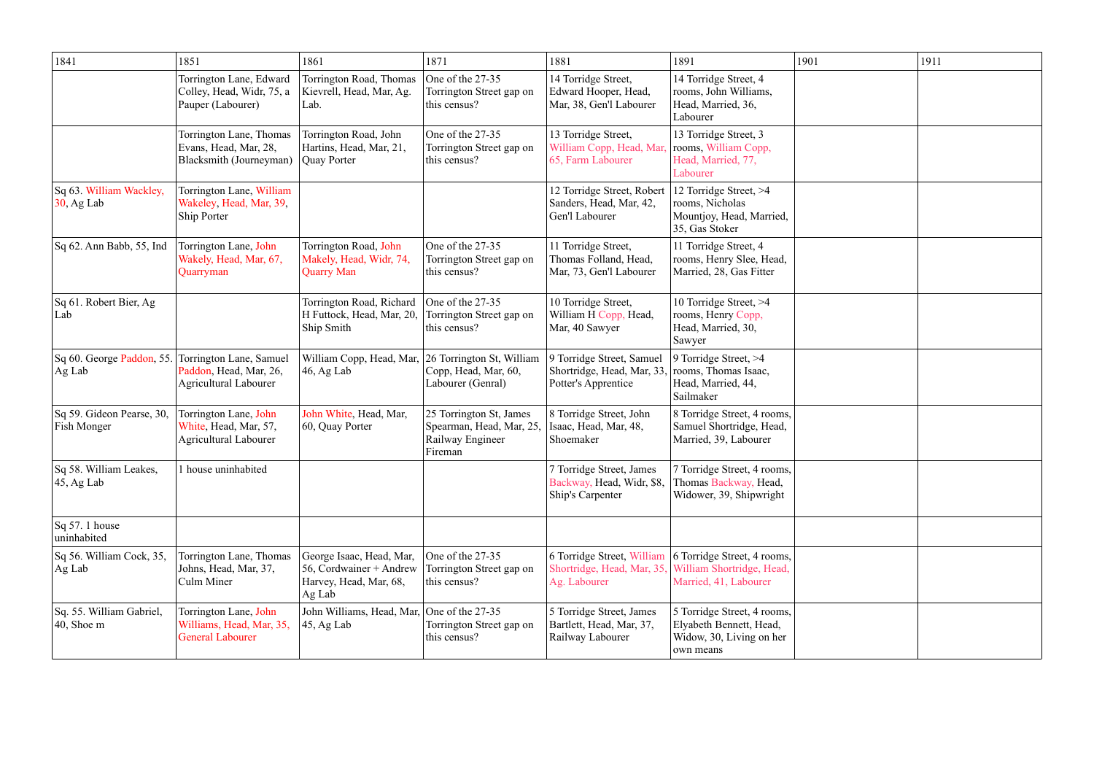| 1841                                                      | 1851                                                                              | 1861                                                                                    | 1871                                                                               | 1881                                                                          | 1891                                                                                            | 1901 | 1911 |
|-----------------------------------------------------------|-----------------------------------------------------------------------------------|-----------------------------------------------------------------------------------------|------------------------------------------------------------------------------------|-------------------------------------------------------------------------------|-------------------------------------------------------------------------------------------------|------|------|
|                                                           | Torrington Lane, Edward<br>Colley, Head, Widr, 75, a<br>Pauper (Labourer)         | Torrington Road, Thomas<br>Kievrell, Head, Mar, Ag.<br>Lab.                             | One of the 27-35<br>Torrington Street gap on<br>this census?                       | 14 Torridge Street,<br>Edward Hooper, Head,<br>Mar, 38, Gen'l Labourer        | 14 Torridge Street, 4<br>rooms, John Williams,<br>Head, Married, 36,<br>Labourer                |      |      |
|                                                           | Torrington Lane, Thomas<br>Evans, Head, Mar, 28,<br>Blacksmith (Journeyman)       | Torrington Road, John<br>Hartins, Head, Mar, 21,<br>Quay Porter                         | One of the 27-35<br>Torrington Street gap on<br>this census?                       | 13 Torridge Street,<br>William Copp, Head, Mar,<br>65, Farm Labourer          | 13 Torridge Street, 3<br>rooms, William Copp,<br>Head, Married, 77,<br>Labourer                 |      |      |
| Sq 63. William Wackley,<br>$30$ , Ag Lab                  | Torrington Lane, William<br>Wakeley, Head, Mar, 39,<br>Ship Porter                |                                                                                         |                                                                                    | 12 Torridge Street, Robert<br>Sanders, Head, Mar, 42,<br>Gen'l Labourer       | 12 Torridge Street, >4<br>rooms, Nicholas<br>Mountjoy, Head, Married,<br>35, Gas Stoker         |      |      |
| Sq 62. Ann Babb, 55, Ind                                  | Torrington Lane, John<br>Wakely, Head, Mar, 67,<br>Quarryman                      | Torrington Road, John<br>Makely, Head, Widr, 74<br><b>Quarry Man</b>                    | One of the 27-35<br>Torrington Street gap on<br>this census?                       | 11 Torridge Street,<br>Thomas Folland, Head,<br>Mar, 73, Gen'l Labourer       | 11 Torridge Street, 4<br>rooms, Henry Slee, Head,<br>Married, 28, Gas Fitter                    |      |      |
| Sq 61. Robert Bier, Ag<br>Lab                             |                                                                                   | Torrington Road, Richard<br>H Futtock, Head, Mar, 20,<br>Ship Smith                     | One of the 27-35<br>Torrington Street gap on<br>this census?                       | 10 Torridge Street,<br>William H Copp, Head,<br>Mar, 40 Sawyer                | 10 Torridge Street, >4<br>rooms, Henry Copp,<br>Head, Married, 30,<br>Sawyer                    |      |      |
| $ $ Sq 60. George Paddon, 55.<br>$\vert$ Ag Lab           | Torrington Lane, Samuel<br>Paddon, Head, Mar, 26,<br><b>Agricultural Labourer</b> | William Copp, Head, Mar,<br>46, Ag Lab                                                  | 26 Torrington St, William<br>Copp, Head, Mar, 60,<br>Labourer (Genral)             | 9 Torridge Street, Samuel<br>Shortridge, Head, Mar, 33<br>Potter's Apprentice | 9 Torridge Street, >4<br>rooms, Thomas Isaac,<br>Head, Married, 44,<br>Sailmaker                |      |      |
| Sq 59. Gideon Pearse, 30,<br><b>Fish Monger</b>           | Torrington Lane, John<br>White, Head, Mar, 57,<br><b>Agricultural Labourer</b>    | John White, Head, Mar,<br>60, Quay Porter                                               | 25 Torrington St, James<br>Spearman, Head, Mar, 25,<br>Railway Engineer<br>Fireman | 8 Torridge Street, John<br>Isaac, Head, Mar, 48,<br>Shoemaker                 | 8 Torridge Street, 4 rooms,<br>Samuel Shortridge, Head,<br>Married, 39, Labourer                |      |      |
| Sq 58. William Leakes,<br>$ 45, Ag$ Lab                   | 1 house uninhabited                                                               |                                                                                         |                                                                                    | 7 Torridge Street, James<br>Backway, Head, Widr, \$8,<br>Ship's Carpenter     | 7 Torridge Street, 4 rooms,<br>Thomas Backway, Head,<br>Widower, 39, Shipwright                 |      |      |
| $\vert$ Sq 57. 1 house<br>uninhabited                     |                                                                                   |                                                                                         |                                                                                    |                                                                               |                                                                                                 |      |      |
| Sq 56. William Cock, 35,<br>$\operatorname{Ag}\text{Lab}$ | Torrington Lane, Thomas<br>Johns, Head, Mar, 37,<br>Culm Miner                    | George Isaac, Head, Mar,<br>56, Cordwainer + Andrew<br>Harvey, Head, Mar, 68,<br>Ag Lab | One of the 27-35<br>Torrington Street gap on<br>this census?                       | 6 Torridge Street, William<br>Shortridge, Head, Mar, 35<br>Ag. Labourer       | 6 Torridge Street, 4 rooms,<br>William Shortridge, Head,<br>Married, 41, Labourer               |      |      |
| Sq. 55. William Gabriel,<br>$ 40,$ Shoe m                 | Torrington Lane, John<br>Williams, Head, Mar, 35,<br><b>General Labourer</b>      | John Williams, Head, Mar, One of the 27-35<br>$ 45, Ag$ Lab                             | Torrington Street gap on<br>this census?                                           | 5 Torridge Street, James<br>Bartlett, Head, Mar, 37,<br>Railway Labourer      | 5 Torridge Street, 4 rooms,<br>Elyabeth Bennett, Head,<br>Widow, 30, Living on her<br>own means |      |      |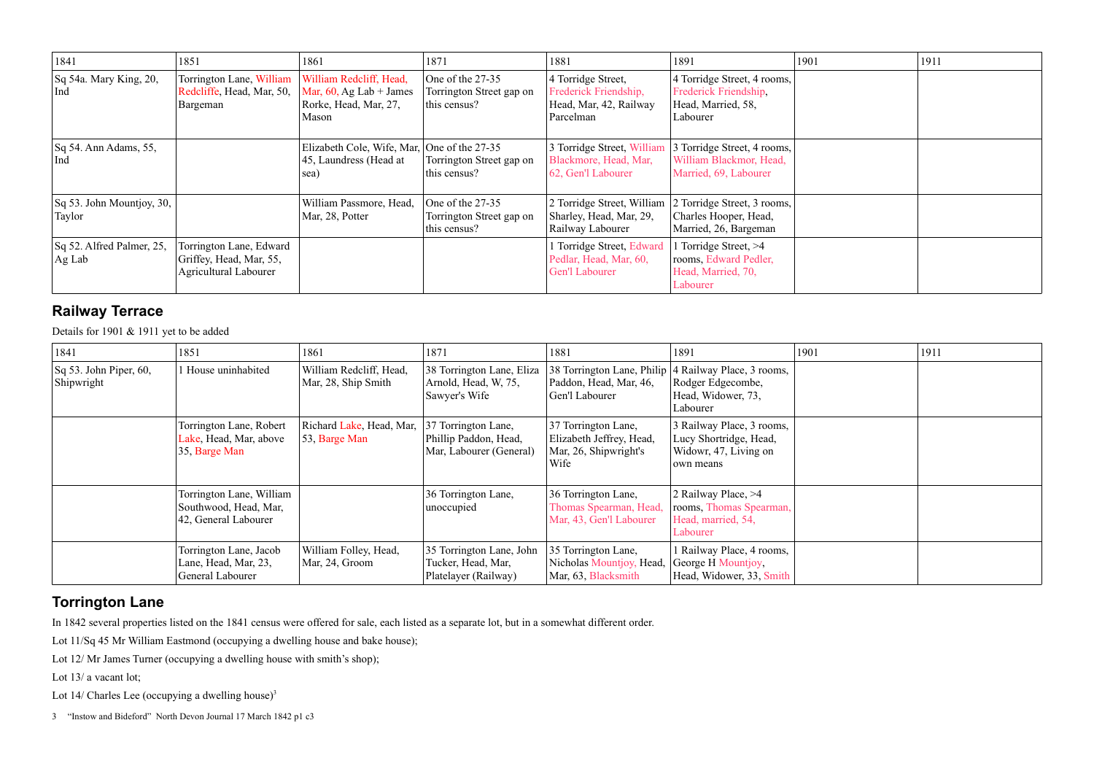| 1841                                        | 1851                                                                               | 1861                                                                                    | 1871                                                         | 1881                                                                               | 1891                                                                                                     | 1901 | 1911 |
|---------------------------------------------|------------------------------------------------------------------------------------|-----------------------------------------------------------------------------------------|--------------------------------------------------------------|------------------------------------------------------------------------------------|----------------------------------------------------------------------------------------------------------|------|------|
| $\vert$ Sq 54a. Mary King, 20,<br>  Ind     | Torrington Lane, William<br>Redcliffe, Head, Mar, 50,<br>Bargeman                  | William Redcliff, Head,<br>Mar, $60$ , Ag Lab + James<br>Rorke, Head, Mar, 27,<br>Mason | One of the 27-35<br>Torrington Street gap on<br>this census? | 4 Torridge Street,<br>Frederick Friendship,<br>Head, Mar, 42, Railway<br>Parcelman | 4 Torridge Street, 4 rooms,<br>Frederick Friendship,<br>Head, Married, 58,<br>Labourer                   |      |      |
| $\vert$ Sq 54. Ann Adams, 55,<br>  Ind      |                                                                                    | Elizabeth Cole, Wife, Mar, One of the 27-35<br>45, Laundress (Head at<br>sea)           | Torrington Street gap on<br>this census?                     | 3 Torridge Street, William<br>Blackmore, Head, Mar,<br>62, Gen'l Labourer          | 3 Torridge Street, 4 rooms,<br>William Blackmor, Head,<br>Married, 69, Labourer                          |      |      |
| $\vert$ Sq 53. John Mountjoy, 30,<br>Taylor |                                                                                    | William Passmore, Head,<br>Mar, 28, Potter                                              | One of the 27-35<br>Torrington Street gap on<br>this census? | Sharley, Head, Mar, 29,<br>Railway Labourer                                        | 2 Torridge Street, William 2 Torridge Street, 3 rooms,<br>Charles Hooper, Head,<br>Married, 26, Bargeman |      |      |
| Sq 52. Alfred Palmer, 25,<br>$\vert$ Ag Lab | Torrington Lane, Edward<br>Griffey, Head, Mar, 55,<br><b>Agricultural Labourer</b> |                                                                                         |                                                              | Torridge Street, Edward<br>Pedlar, Head, Mar, 60,<br>Gen'l Labourer                | Torridge Street, >4<br>rooms, Edward Pedler,<br>Head, Married, 70,<br>Labourer                           |      |      |

#### **Railway Terrace**

Details for 1901 & 1911 yet to be added

| 1841                                 | 1851                                                                          | 1861                                           | 1871                                                                    | 1881                                                                             | 1891                                                                                                          | 1901 | 1911 |
|--------------------------------------|-------------------------------------------------------------------------------|------------------------------------------------|-------------------------------------------------------------------------|----------------------------------------------------------------------------------|---------------------------------------------------------------------------------------------------------------|------|------|
| Sq 53. John Piper, 60,<br>Shipwright | 1 House uninhabited                                                           | William Redcliff, Head,<br>Mar, 28, Ship Smith | 38 Torrington Lane, Eliza<br>Arnold, Head, W, 75,<br>Sawyer's Wife      | Paddon, Head, Mar, 46,<br>Gen'l Labourer                                         | 38 Torrington Lane, Philip   4 Railway Place, 3 rooms,<br>Rodger Edgecombe,<br>Head, Widower, 73,<br>Labourer |      |      |
|                                      | Torrington Lane, Robert<br>Lake, Head, Mar, above<br>$ 35, \text{Barge Man} $ | Richard Lake, Head, Mar,<br>53, Barge Man      | 37 Torrington Lane,<br>Phillip Paddon, Head,<br>Mar, Labourer (General) | 37 Torrington Lane,<br>Elizabeth Jeffrey, Head,<br>Mar, 26, Shipwright's<br>Wife | 3 Railway Place, 3 rooms,<br>Lucy Shortridge, Head,<br>Widowr, 47, Living on<br>own means                     |      |      |
|                                      | Torrington Lane, William<br>Southwood, Head, Mar,<br>42, General Labourer     |                                                | 36 Torrington Lane,<br>unoccupied                                       | 36 Torrington Lane,<br>Thomas Spearman, Head,<br>Mar, 43, Gen'l Labourer         | 2 Railway Place, >4<br>rooms, Thomas Spearman,<br>Head, married, 54,<br>Labourer                              |      |      |
|                                      | Torrington Lane, Jacob<br>Lane, Head, Mar, 23,<br>General Labourer            | William Folley, Head,<br>Mar, 24, Groom        | 35 Torrington Lane, John<br>Tucker, Head, Mar,<br>Platelayer (Railway)  | 35 Torrington Lane,<br>Nicholas Mountjoy, Head,<br>Mar, 63, Blacksmith           | 1 Railway Place, 4 rooms,<br>George H Mountjoy,<br>Head, Widower, 33, Smith                                   |      |      |

#### **Torrington Lane**

In 1842 several properties listed on the 1841 census were offered for sale, each listed as a separate lot, but in a somewhat different order.

Lot 11/Sq 45 Mr William Eastmond (occupying a dwelling house and bake house);

Lot 12/ Mr James Turner (occupying a dwelling house with smith's shop);

Lot 13/ a vacant lot;

Lot 14/ Charles Lee (occupying a dwelling house) 3

<sup>3</sup> "Instow and Bideford" North Devon Journal 17 March 1842 p1 c3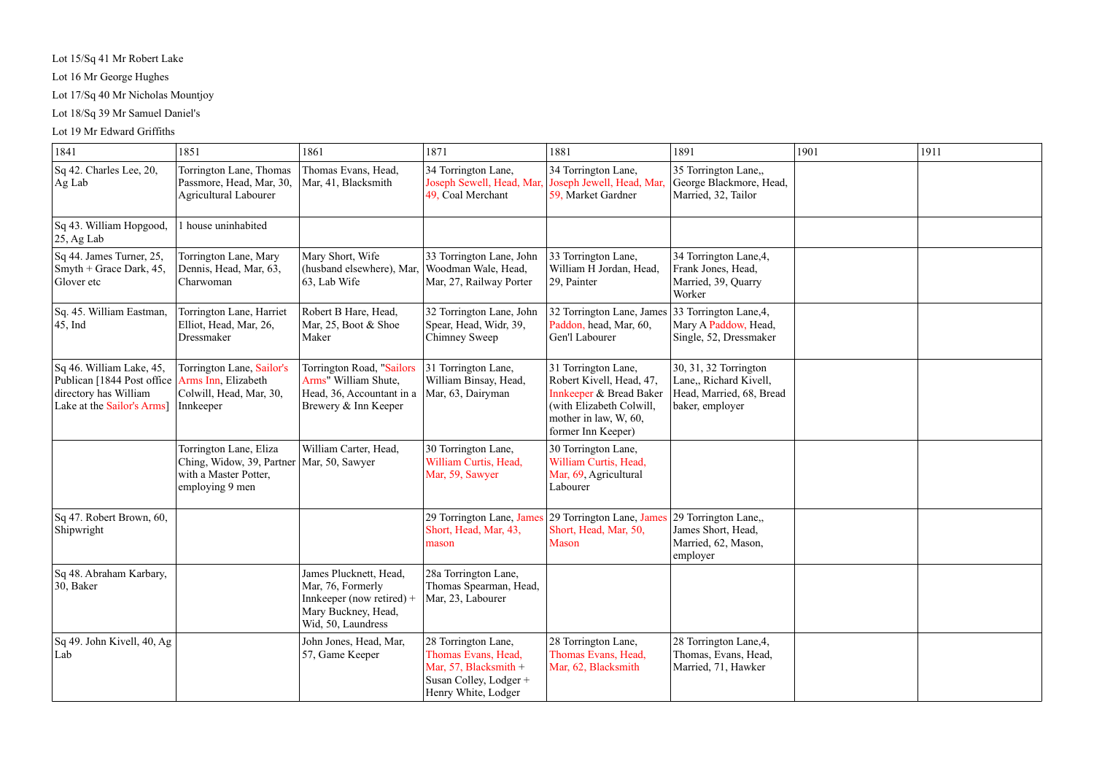Lot 15/Sq 41 Mr Robert Lake

Lot 16 Mr George Hughes

Lot 17/Sq 40 Mr Nicholas Mountjoy

Lot 18/Sq 39 Mr Samuel Daniel's

#### Lot 19 Mr Edward Griffiths

| 1841                                                                                                           | 1851                                                                                            | 1861                                                                                                                    | 1871                                                                                                                   | 1881                                                                                                                                                             | 1891                                                                                           | 1901 | 1911 |
|----------------------------------------------------------------------------------------------------------------|-------------------------------------------------------------------------------------------------|-------------------------------------------------------------------------------------------------------------------------|------------------------------------------------------------------------------------------------------------------------|------------------------------------------------------------------------------------------------------------------------------------------------------------------|------------------------------------------------------------------------------------------------|------|------|
| Sq 42. Charles Lee, 20,<br>$\operatorname{Ag}\, \operatorname{Lab}$                                            | Torrington Lane, Thomas<br>Passmore, Head, Mar, 30,<br><b>Agricultural Labourer</b>             | Thomas Evans, Head,<br>Mar, 41, Blacksmith                                                                              | 34 Torrington Lane,<br>Joseph Sewell, Head, Mar,<br>49, Coal Merchant                                                  | 34 Torrington Lane,<br>Joseph Jewell, Head, Mar,<br>59, Market Gardner                                                                                           | 35 Torrington Lane,,<br>George Blackmore, Head,<br>Married, 32, Tailor                         |      |      |
| Sq 43. William Hopgood,<br>$ 25, Ag$ Lab                                                                       | 1 house uninhabited                                                                             |                                                                                                                         |                                                                                                                        |                                                                                                                                                                  |                                                                                                |      |      |
| Sq 44. James Turner, 25,<br>Smyth + Grace Dark, $45$ ,<br>Glover etc                                           | Torrington Lane, Mary<br>Dennis, Head, Mar, 63,<br>Charwoman                                    | Mary Short, Wife<br>(husband elsewhere), Mar,<br>63, Lab Wife                                                           | 33 Torrington Lane, John<br>Woodman Wale, Head,<br>Mar, 27, Railway Porter                                             | 33 Torrington Lane,<br>William H Jordan, Head,<br>29, Painter                                                                                                    | 34 Torrington Lane, 4,<br>Frank Jones, Head,<br>Married, 39, Quarry<br>Worker                  |      |      |
| Sq. 45. William Eastman,<br>$ 45, \text{Ind}$                                                                  | Torrington Lane, Harriet<br>Elliot, Head, Mar, 26,<br>Dressmaker                                | Robert B Hare, Head,<br>Mar, 25, Boot & Shoe<br>Maker                                                                   | 32 Torrington Lane, John<br>Spear, Head, Widr, 39,<br>Chimney Sweep                                                    | 32 Torrington Lane, James 33 Torrington Lane, 4,<br>Paddon, head, Mar, 60,<br>Gen'l Labourer                                                                     | Mary A Paddow, Head,<br>Single, 52, Dressmaker                                                 |      |      |
| Sq 46. William Lake, 45,<br>Publican [1844 Post office]<br>directory has William<br>Lake at the Sailor's Arms] | Torrington Lane, Sailor's<br>Arms Inn, Elizabeth<br>Colwill, Head, Mar, 30,<br>Innkeeper        | Torrington Road, "Sailors<br>Arms" William Shute,<br>Head, 36, Accountant in a<br>Brewery & Inn Keeper                  | 31 Torrington Lane,<br>William Binsay, Head,<br>Mar, 63, Dairyman                                                      | 31 Torrington Lane,<br>Robert Kivell, Head, 47,<br><b>Innkeeper &amp; Bread Baker</b><br>(with Elizabeth Colwill,<br>mother in law, W, 60,<br>former Inn Keeper) | 30, 31, 32 Torrington<br>Lane,, Richard Kivell,<br>Head, Married, 68, Bread<br>baker, employer |      |      |
|                                                                                                                | Torrington Lane, Eliza<br>Ching, Widow, 39, Partner<br>with a Master Potter,<br>employing 9 men | William Carter, Head,<br>Mar, 50, Sawyer                                                                                | 30 Torrington Lane,<br>William Curtis, Head,<br>Mar, 59, Sawyer                                                        | 30 Torrington Lane,<br>William Curtis, Head,<br>Mar, 69, Agricultural<br>Labourer                                                                                |                                                                                                |      |      |
| Sq 47. Robert Brown, 60,<br>Shipwright                                                                         |                                                                                                 |                                                                                                                         | 29 Torrington Lane, James<br>Short, Head, Mar, 43,<br>mason                                                            | 29 Torrington Lane, James<br>Short, Head, Mar, 50,<br><b>Mason</b>                                                                                               | 29 Torrington Lane,,<br>James Short, Head,<br>Married, 62, Mason,<br>employer                  |      |      |
| Sq 48. Abraham Karbary,<br> 30, Baker                                                                          |                                                                                                 | James Plucknett, Head,<br>Mar, 76, Formerly<br>Innkeeper (now retired) $+$<br>Mary Buckney, Head,<br>Wid, 50, Laundress | 28a Torrington Lane,<br>Thomas Spearman, Head,<br>Mar, 23, Labourer                                                    |                                                                                                                                                                  |                                                                                                |      |      |
| $\vert$ Sq 49. John Kivell, 40, Ag<br>Lab                                                                      |                                                                                                 | John Jones, Head, Mar,<br>57, Game Keeper                                                                               | 28 Torrington Lane,<br>Thomas Evans, Head,<br>Mar, 57, Blacksmith $+$<br>Susan Colley, Lodger +<br>Henry White, Lodger | 28 Torrington Lane,<br>Thomas Evans, Head,<br>Mar, 62, Blacksmith                                                                                                | 28 Torrington Lane, 4,<br>Thomas, Evans, Head,<br>Married, 71, Hawker                          |      |      |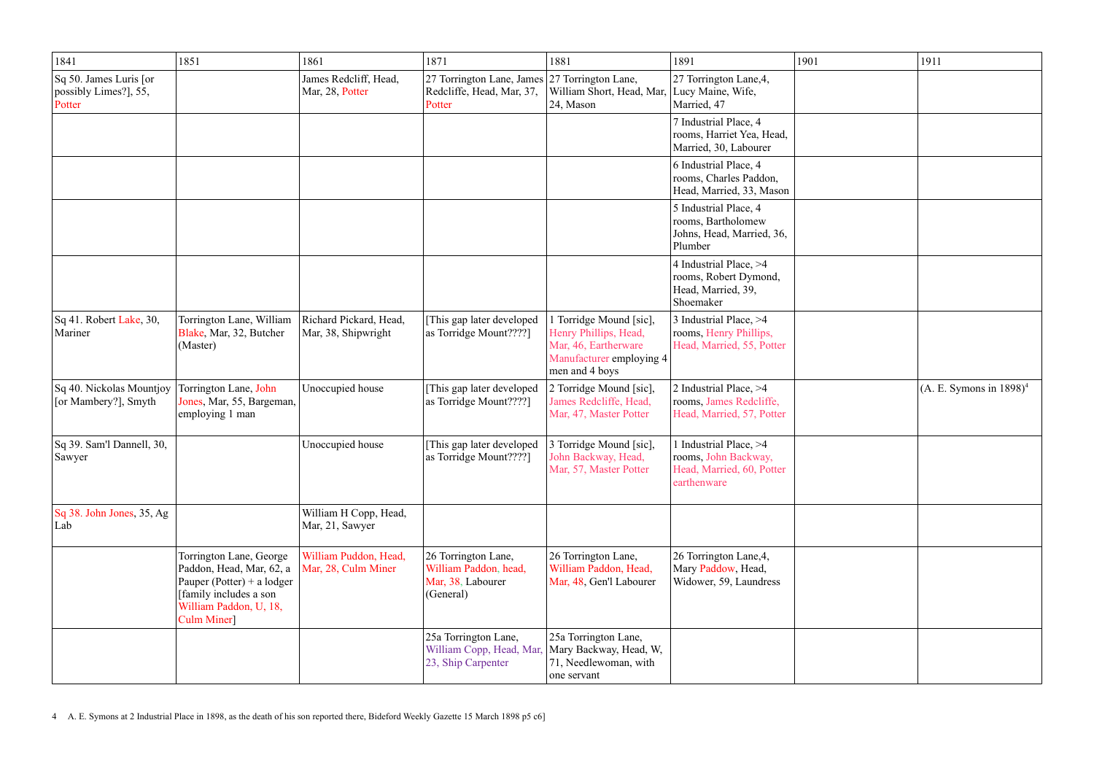| 1841                                                                         | 1851                                                                                                                                                 | 1861                                          | 1871                                                                           | 1881                                                                                                                   | 1891                                                                                       | 1901 | 1911                       |
|------------------------------------------------------------------------------|------------------------------------------------------------------------------------------------------------------------------------------------------|-----------------------------------------------|--------------------------------------------------------------------------------|------------------------------------------------------------------------------------------------------------------------|--------------------------------------------------------------------------------------------|------|----------------------------|
| $\vert$ Sq 50. James Luris $\vert$ or<br>$ $ possibly Limes?], 55,<br>Potter |                                                                                                                                                      | James Redcliff, Head,<br>Mar, 28, Potter      | 27 Torrington Lane, James<br>Redcliffe, Head, Mar, 37,<br>Potter               | 27 Torrington Lane,<br>William Short, Head, Mar, Lucy Maine, Wife,<br>24, Mason                                        | 27 Torrington Lane, 4,<br>Married, 47                                                      |      |                            |
|                                                                              |                                                                                                                                                      |                                               |                                                                                |                                                                                                                        | 7 Industrial Place, 4<br>rooms, Harriet Yea, Head,<br>Married, 30, Labourer                |      |                            |
|                                                                              |                                                                                                                                                      |                                               |                                                                                |                                                                                                                        | 6 Industrial Place, 4<br>rooms, Charles Paddon,<br>Head, Married, 33, Mason                |      |                            |
|                                                                              |                                                                                                                                                      |                                               |                                                                                |                                                                                                                        | 5 Industrial Place, 4<br>rooms, Bartholomew<br>Johns, Head, Married, 36,<br>Plumber        |      |                            |
|                                                                              |                                                                                                                                                      |                                               |                                                                                |                                                                                                                        | 4 Industrial Place, >4<br>rooms, Robert Dymond,<br>Head, Married, 39,<br>Shoemaker         |      |                            |
| Sq 41. Robert Lake, 30,<br>Mariner                                           | Torrington Lane, William<br>Blake, Mar, 32, Butcher<br>(Master)                                                                                      | Richard Pickard, Head,<br>Mar, 38, Shipwright | [This gap later developed<br>as Torridge Mount????]                            | 1 Torridge Mound [sic],<br>Henry Phillips, Head,<br>Mar, 46, Eartherware<br>Manufacturer employing 4<br>men and 4 boys | 3 Industrial Place, >4<br>rooms, Henry Phillips,<br>Head, Married, 55, Potter              |      |                            |
| Sq 40. Nickolas Mountjoy<br>[or Mambery?], Smyth                             | Torrington Lane, John<br>Jones, Mar, 55, Bargeman,<br>employing 1 man                                                                                | Unoccupied house                              | This gap later developed<br>as Torridge Mount????]                             | 2 Torridge Mound [sic],<br>James Redcliffe, Head,<br>Mar, 47, Master Potter                                            | 2 Industrial Place, >4<br>rooms, James Redcliffe,<br>Head, Married, 57, Potter             |      | $(A. E. Symons in 1898)^4$ |
| Sq 39. Sam'l Dannell, 30,<br>Sawyer                                          |                                                                                                                                                      | Unoccupied house                              | This gap later developed<br>as Torridge Mount????]                             | 3 Torridge Mound [sic],<br>John Backway, Head<br>Mar, 57, Master Potter                                                | 1 Industrial Place, >4<br>rooms, John Backway,<br>Head, Married, 60, Potter<br>earthenware |      |                            |
| $\vert$ Sq 38. John Jones, 35, Ag<br>Lab                                     |                                                                                                                                                      | William H Copp, Head,<br>Mar, 21, Sawyer      |                                                                                |                                                                                                                        |                                                                                            |      |                            |
|                                                                              | Torrington Lane, George<br>Paddon, Head, Mar, 62, a<br>Pauper (Potter) + a lodger<br>[family includes a son<br>William Paddon, U, 18,<br>Culm Miner] | William Puddon, Head,<br>Mar, 28, Culm Miner  | 26 Torrington Lane,<br>William Paddon, head,<br>Mar, 38, Labourer<br>(General) | 26 Torrington Lane,<br>William Paddon, Head,<br>Mar, 48, Gen'l Labourer                                                | 26 Torrington Lane, 4,<br>Mary Paddow, Head,<br>Widower, 59, Laundress                     |      |                            |
|                                                                              |                                                                                                                                                      |                                               | 25a Torrington Lane,<br>William Copp, Head, Mar,<br>23, Ship Carpenter         | 25a Torrington Lane,<br>Mary Backway, Head, W,<br>71, Needlewoman, with<br>one servant                                 |                                                                                            |      |                            |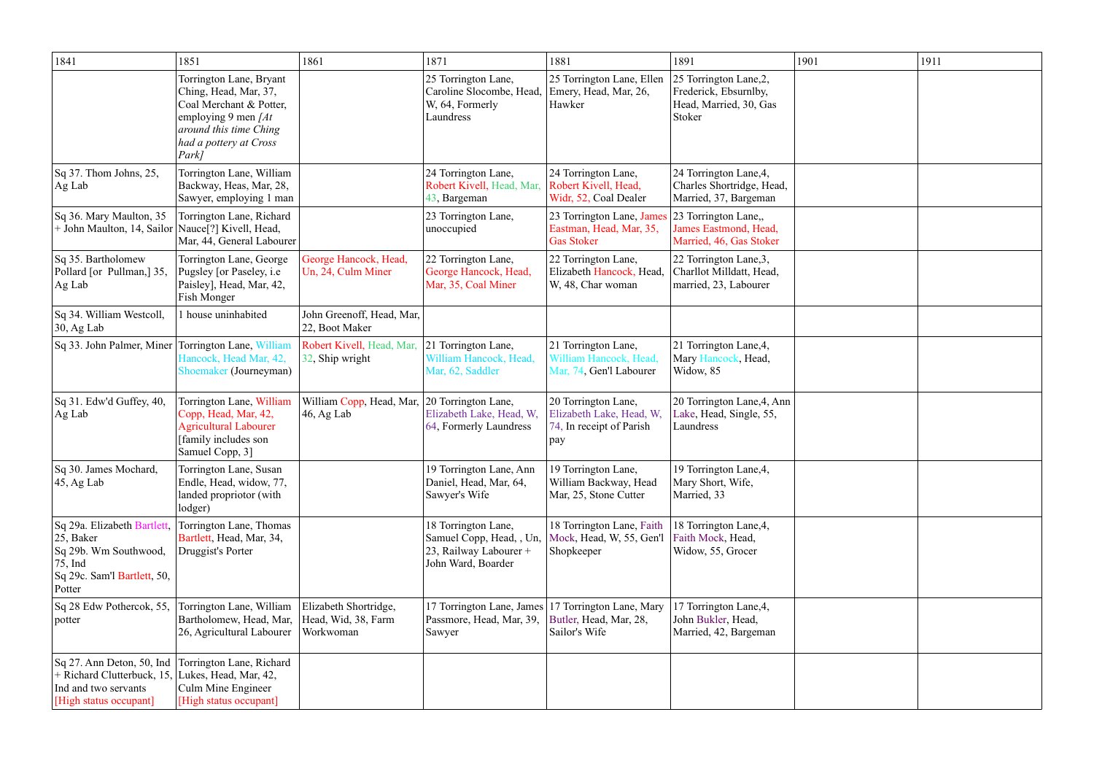| 1841                                                                                                                             | 1851                                                                                                                                                               | 1861                                                      | 1871                                                                                            | 1881                                                                                          | 1891                                                                                | 1901 | 1911 |
|----------------------------------------------------------------------------------------------------------------------------------|--------------------------------------------------------------------------------------------------------------------------------------------------------------------|-----------------------------------------------------------|-------------------------------------------------------------------------------------------------|-----------------------------------------------------------------------------------------------|-------------------------------------------------------------------------------------|------|------|
|                                                                                                                                  | Torrington Lane, Bryant<br>Ching, Head, Mar, 37,<br>Coal Merchant & Potter,<br>employing 9 men $[At]$<br>around this time Ching<br>had a pottery at Cross<br>Park] |                                                           | 25 Torrington Lane,<br>Caroline Slocombe, Head,<br>W, 64, Formerly<br>Laundress                 | 25 Torrington Lane, Ellen<br>Emery, Head, Mar, 26,<br>Hawker                                  | 25 Torrington Lane, 2,<br>Frederick, Ebsurnlby,<br>Head, Married, 30, Gas<br>Stoker |      |      |
| Sq 37. Thom Johns, 25,<br>Ag Lab                                                                                                 | Torrington Lane, William<br>Backway, Heas, Mar, 28,<br>Sawyer, employing 1 man                                                                                     |                                                           | 24 Torrington Lane,<br>Robert Kivell, Head, Mar,<br>43, Bargeman                                | 24 Torrington Lane,<br>Robert Kivell, Head,<br>Widr, 52, Coal Dealer                          | 24 Torrington Lane, 4,<br>Charles Shortridge, Head,<br>Married, 37, Bargeman        |      |      |
| Sq 36. Mary Maulton, 35<br>+ John Maulton, 14, Sailor   Nauce <sup>[2]</sup> Kivell, Head,                                       | Torrington Lane, Richard<br>Mar, 44, General Labourer                                                                                                              |                                                           | 23 Torrington Lane,<br>unoccupied                                                               | 23 Torrington Lane, James 23 Torrington Lane,<br>Eastman, Head, Mar, 35,<br><b>Gas Stoker</b> | James Eastmond, Head,<br>Married, 46, Gas Stoker                                    |      |      |
| Sq 35. Bartholomew<br>Pollard [or Pullman,] 35,<br>Ag Lab                                                                        | Torrington Lane, George<br>Pugsley [or Paseley, i.e<br>Paisley], Head, Mar, 42,<br><b>Fish Monger</b>                                                              | George Hancock, Head,<br>Un, 24, Culm Miner               | 22 Torrington Lane,<br>George Hancock, Head,<br>Mar, 35, Coal Miner                             | 22 Torrington Lane,<br>Elizabeth Hancock, Head,<br>W, 48, Char woman                          | 22 Torrington Lane, 3,<br>Charllot Milldatt, Head,<br>married, 23, Labourer         |      |      |
| Sq 34. William Westcoll,<br>$30, Ag$ Lab                                                                                         | 1 house uninhabited                                                                                                                                                | John Greenoff, Head, Mar,<br>22, Boot Maker               |                                                                                                 |                                                                                               |                                                                                     |      |      |
| Sq 33. John Palmer, Miner Torrington Lane, William                                                                               | Hancock, Head Mar, 42,<br>Shoemaker (Journeyman)                                                                                                                   | Robert Kivell, Head, Mar,<br>32, Ship wright              | 21 Torrington Lane,<br>William Hancock, Head,<br>Mar, 62, Saddler                               | 21 Torrington Lane,<br>William Hancock, Head,<br>Mar, 74, Gen'l Labourer                      | 21 Torrington Lane, 4,<br>Mary Hancock, Head,<br>Widow, 85                          |      |      |
| Sq 31. Edw'd Guffey, 40,<br>Ag Lab                                                                                               | Torrington Lane, William<br>Copp, Head, Mar, 42,<br><b>Agricultural Labourer</b><br>[family includes son<br>Samuel Copp, 3]                                        | William Copp, Head, Mar,<br>46, Ag Lab                    | 20 Torrington Lane,<br>Elizabeth Lake, Head, W,<br>64, Formerly Laundress                       | 20 Torrington Lane,<br>Elizabeth Lake, Head, W,<br>74, In receipt of Parish<br>pay            | 20 Torrington Lane, 4, Ann<br>Lake, Head, Single, 55,<br>Laundress                  |      |      |
| Sq 30. James Mochard,<br>$ 45, Ag$ Lab                                                                                           | Torrington Lane, Susan<br>Endle, Head, widow, 77,<br>landed propriotor (with<br>lodger)                                                                            |                                                           | 19 Torrington Lane, Ann<br>Daniel, Head, Mar, 64,<br>Sawyer's Wife                              | 19 Torrington Lane,<br>William Backway, Head<br>Mar, 25, Stone Cutter                         | 19 Torrington Lane, 4,<br>Mary Short, Wife,<br>Married, 33                          |      |      |
| Sq 29a. Elizabeth Bartlett,<br> 25, Baker<br>Sq 29b. Wm Southwood,<br>$ 75, \text{Ind}$<br>Sq 29c. Sam'l Bartlett, 50,<br>Potter | Torrington Lane, Thomas<br>Bartlett, Head, Mar, 34,<br>Druggist's Porter                                                                                           |                                                           | 18 Torrington Lane,<br>Samuel Copp, Head, , Un,<br>23, Railway Labourer +<br>John Ward, Boarder | 18 Torrington Lane, Faith<br>Mock, Head, W, 55, Gen'l<br>Shopkeeper                           | 18 Torrington Lane, 4,<br>Faith Mock, Head,<br>Widow, 55, Grocer                    |      |      |
| Sq 28 Edw Pothercok, 55,<br>potter                                                                                               | Torrington Lane, William<br>Bartholomew, Head, Mar,<br>26, Agricultural Labourer                                                                                   | Elizabeth Shortridge,<br>Head, Wid, 38, Farm<br>Workwoman | 17 Torrington Lane, James<br>Passmore, Head, Mar, 39,<br>Sawyer                                 | 17 Torrington Lane, Mary<br>Butler, Head, Mar, 28,<br>Sailor's Wife                           | 17 Torrington Lane, 4,<br>John Bukler, Head,<br>Married, 42, Bargeman               |      |      |
| Sq 27. Ann Deton, 50, Ind<br>+ Richard Clutterbuck, 15,<br>Ind and two servants<br>[High status occupant]                        | Torrington Lane, Richard<br>Lukes, Head, Mar, 42,<br>Culm Mine Engineer<br>[High status occupant]                                                                  |                                                           |                                                                                                 |                                                                                               |                                                                                     |      |      |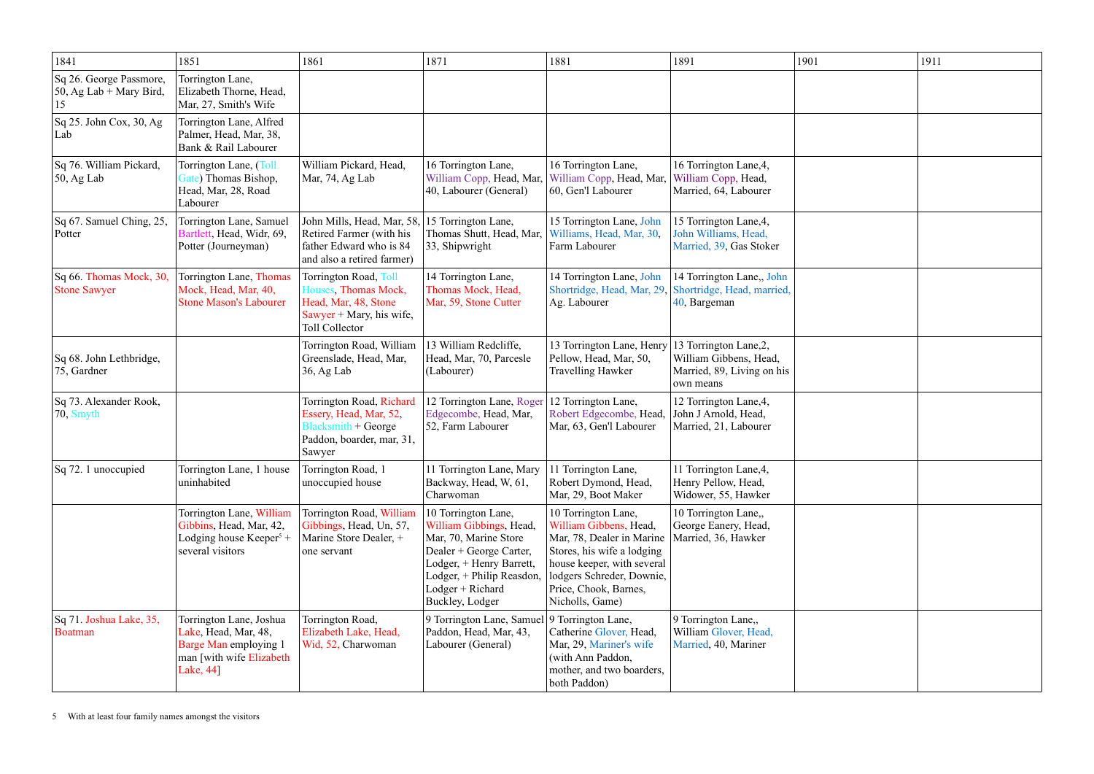| 1841                                                        | 1851                                                                                                               | 1861                                                                                                                    | 1871                                                                                                                                                                                               | 1881                                                                                                                                                                                                            | 1891                                                                                               | 1901 | 1911 |
|-------------------------------------------------------------|--------------------------------------------------------------------------------------------------------------------|-------------------------------------------------------------------------------------------------------------------------|----------------------------------------------------------------------------------------------------------------------------------------------------------------------------------------------------|-----------------------------------------------------------------------------------------------------------------------------------------------------------------------------------------------------------------|----------------------------------------------------------------------------------------------------|------|------|
| Sq 26. George Passmore,<br>$50$ , Ag Lab + Mary Bird,<br>15 | Torrington Lane,<br>Elizabeth Thorne, Head,<br>Mar, 27, Smith's Wife                                               |                                                                                                                         |                                                                                                                                                                                                    |                                                                                                                                                                                                                 |                                                                                                    |      |      |
| $\vert$ Sq 25. John Cox, 30, Ag<br>Lab                      | Torrington Lane, Alfred<br>Palmer, Head, Mar, 38,<br>Bank & Rail Labourer                                          |                                                                                                                         |                                                                                                                                                                                                    |                                                                                                                                                                                                                 |                                                                                                    |      |      |
| Sq 76. William Pickard,<br>$\vert$ 50, Ag Lab               | Torrington Lane, (Toll<br>Gate) Thomas Bishop,<br>Head, Mar, 28, Road<br>Labourer                                  | William Pickard, Head,<br>Mar, 74, Ag Lab                                                                               | 16 Torrington Lane,<br>William Copp, Head, Mar,<br>40, Labourer (General)                                                                                                                          | 16 Torrington Lane,<br>William Copp, Head, Mar,<br>60, Gen'l Labourer                                                                                                                                           | 16 Torrington Lane, 4,<br>William Copp, Head,<br>Married, 64, Labourer                             |      |      |
| Sq 67. Samuel Ching, 25,<br>Potter                          | Torrington Lane, Samuel<br>Bartlett, Head, Widr, 69,<br>Potter (Journeyman)                                        | John Mills, Head, Mar, 58,<br>Retired Farmer (with his<br>father Edward who is 84<br>and also a retired farmer)         | 15 Torrington Lane,<br>Thomas Shutt, Head, Mar,<br>33, Shipwright                                                                                                                                  | 15 Torrington Lane, John<br>Williams, Head, Mar, 30,<br>Farm Labourer                                                                                                                                           | 15 Torrington Lane, 4,<br>John Williams, Head,<br>Married, 39, Gas Stoker                          |      |      |
| Sq 66. Thomas Mock, 30,<br><b>Stone Sawyer</b>              | Torrington Lane, Thomas<br>Mock, Head, Mar, 40,<br><b>Stone Mason's Labourer</b>                                   | Torrington Road, Toll<br>Houses, Thomas Mock,<br>Head, Mar, 48, Stone<br>Sawyer + Mary, his wife,<br>Toll Collector     | 14 Torrington Lane,<br>Thomas Mock, Head,<br>Mar, 59, Stone Cutter                                                                                                                                 | 14 Torrington Lane, John<br>Ag. Labourer                                                                                                                                                                        | 14 Torrington Lane,, John<br>Shortridge, Head, Mar, 29, Shortridge, Head, married,<br>40, Bargeman |      |      |
| Sq 68. John Lethbridge,<br>$ 75,$ Gardner                   |                                                                                                                    | Torrington Road, William<br>Greenslade, Head, Mar,<br>$36$ , Ag Lab                                                     | 13 William Redcliffe,<br>Head, Mar, 70, Parcesle<br>(Labourer)                                                                                                                                     | 13 Torrington Lane, Henry<br>Pellow, Head, Mar, 50,<br><b>Travelling Hawker</b>                                                                                                                                 | 13 Torrington Lane, 2,<br>William Gibbens, Head,<br>Married, 89, Living on his<br>own means        |      |      |
| Sq 73. Alexander Rook,<br>$ 70,$ Smyth                      |                                                                                                                    | Torrington Road, Richard<br>Essery, Head, Mar, 52,<br><b>Blacksmith + George</b><br>Paddon, boarder, mar, 31,<br>Sawyer | 12 Torrington Lane, Roger<br>Edgecombe, Head, Mar,<br>52, Farm Labourer                                                                                                                            | 12 Torrington Lane,<br>Robert Edgecombe, Head,<br>Mar, 63, Gen'l Labourer                                                                                                                                       | 12 Torrington Lane, 4,<br>John J Arnold, Head,<br>Married, 21, Labourer                            |      |      |
| Sq 72. 1 unoccupied                                         | Torrington Lane, 1 house<br>uninhabited                                                                            | Torrington Road, 1<br>unoccupied house                                                                                  | 11 Torrington Lane, Mary<br>Backway, Head, W, 61,<br>Charwoman                                                                                                                                     | 11 Torrington Lane,<br>Robert Dymond, Head,<br>Mar, 29, Boot Maker                                                                                                                                              | 11 Torrington Lane, 4,<br>Henry Pellow, Head,<br>Widower, 55, Hawker                               |      |      |
|                                                             | Torrington Lane, William<br>Gibbins, Head, Mar, 42,<br>Lodging house $Keeper5 +$<br>several visitors               | Torrington Road, William<br>Gibbings, Head, Un, 57,<br>Marine Store Dealer, +<br>one servant                            | 10 Torrington Lane,<br>William Gibbings, Head,<br>Mar, 70, Marine Store<br>Dealer + George Carter,<br>Lodger, + Henry Barrett,<br>Lodger, + Philip Reasdon,<br>Lodger + Richard<br>Buckley, Lodger | 10 Torrington Lane,<br>William Gibbens, Head,<br>Mar, 78, Dealer in Marine<br>Stores, his wife a lodging<br>house keeper, with several<br>lodgers Schreder, Downie,<br>Price, Chook, Barnes,<br>Nicholls, Game) | 10 Torrington Lane,,<br>George Eanery, Head,<br>Married, 36, Hawker                                |      |      |
| Sq 71. Joshua Lake, 35,<br>Boatman                          | Torrington Lane, Joshua<br>Lake, Head, Mar, 48,<br>Barge Man employing 1<br>man [with wife Elizabeth]<br>Lake, 44] | Torrington Road,<br>Elizabeth Lake, Head,<br>Wid, 52, Charwoman                                                         | 9 Torrington Lane, Samuel<br>Paddon, Head, Mar, 43,<br>Labourer (General)                                                                                                                          | 9 Torrington Lane,<br>Catherine Glover, Head,<br>Mar, 29, Mariner's wife<br>(with Ann Paddon,<br>mother, and two boarders,<br>both Paddon)                                                                      | 9 Torrington Lane,,<br>William Glover, Head,<br>Married, 40, Mariner                               |      |      |

<sup>5</sup> With at least four family names amongst the visitors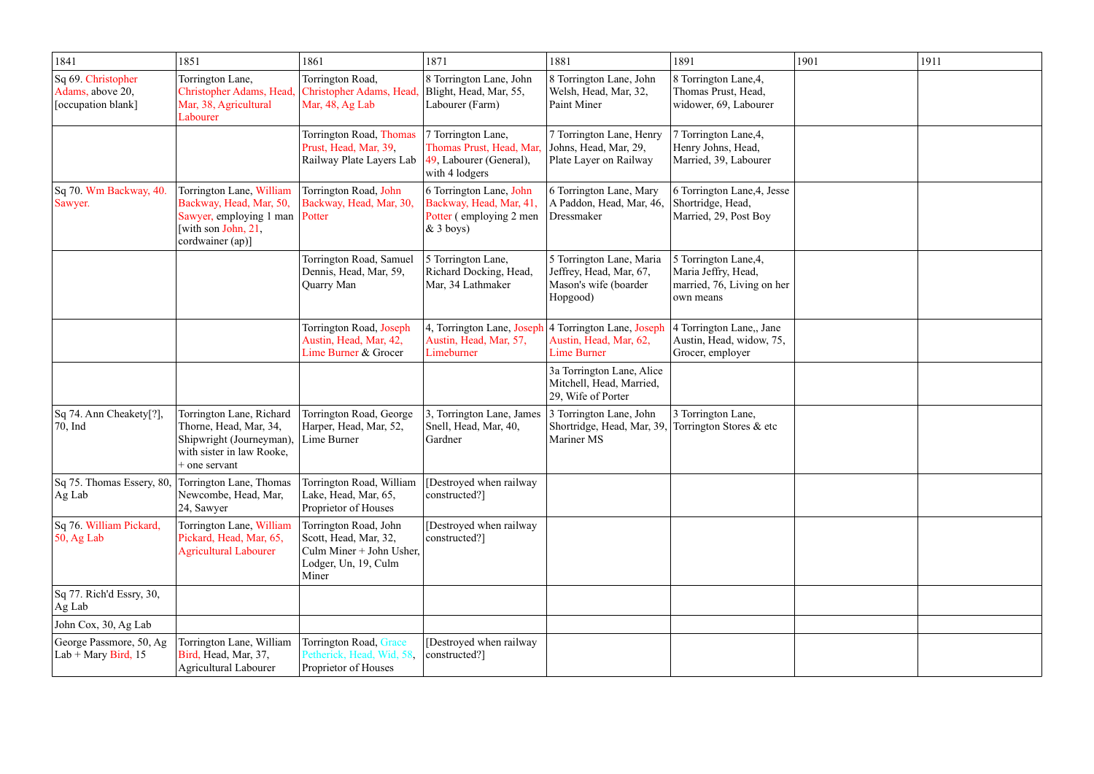| 1841                                                                          | 1851                                                                                                                               | 1861                                                                                                        | 1871                                                                                         | 1881                                                                                     | 1891                                                                                    | 1901 | 1911 |
|-------------------------------------------------------------------------------|------------------------------------------------------------------------------------------------------------------------------------|-------------------------------------------------------------------------------------------------------------|----------------------------------------------------------------------------------------------|------------------------------------------------------------------------------------------|-----------------------------------------------------------------------------------------|------|------|
| Sq 69. Christopher<br>Adams, above 20,<br>[occupation blank]                  | Torrington Lane,<br><b>Christopher Adams</b> , Head<br>Mar, 38, Agricultural<br>Labourer                                           | Torrington Road,<br>Christopher Adams, Head,<br>Mar, 48, Ag Lab                                             | 8 Torrington Lane, John<br>Blight, Head, Mar, 55,<br>Labourer (Farm)                         | 8 Torrington Lane, John<br>Welsh, Head, Mar, 32,<br>Paint Miner                          | 8 Torrington Lane, 4,<br>Thomas Prust, Head,<br>widower, 69, Labourer                   |      |      |
|                                                                               |                                                                                                                                    | Torrington Road, Thomas<br>Prust, Head, Mar, 39,<br>Railway Plate Layers Lab                                | 7 Torrington Lane,<br>Thomas Prust, Head, Mar,<br>49, Labourer (General),<br>with 4 lodgers  | 7 Torrington Lane, Henry<br>Johns, Head, Mar, 29,<br>Plate Layer on Railway              | 7 Torrington Lane, 4,<br>Henry Johns, Head,<br>Married, 39, Labourer                    |      |      |
| Sq 70. Wm Backway, 40.<br>Sawyer.                                             | Torrington Lane, William<br>Backway, Head, Mar, 50,<br>Sawyer, employing 1 man   Potter<br>[with son John, 21,<br>cordwainer (ap)] | Torrington Road, John<br>Backway, Head, Mar, 30,                                                            | 6 Torrington Lane, John<br>Backway, Head, Mar, 41,<br>Potter (employing 2 men<br>$&$ 3 boys) | 6 Torrington Lane, Mary<br>A Paddon, Head, Mar, 46,<br>Dressmaker                        | 6 Torrington Lane, 4, Jesse<br>Shortridge, Head,<br>Married, 29, Post Boy               |      |      |
|                                                                               |                                                                                                                                    | Torrington Road, Samuel<br>Dennis, Head, Mar, 59,<br>Quarry Man                                             | 5 Torrington Lane,<br>Richard Docking, Head,<br>Mar, 34 Lathmaker                            | 5 Torrington Lane, Maria<br>Jeffrey, Head, Mar, 67,<br>Mason's wife (boarder<br>Hopgood) | 5 Torrington Lane, 4,<br>Maria Jeffry, Head,<br>married, 76, Living on her<br>own means |      |      |
|                                                                               |                                                                                                                                    | Torrington Road, Joseph<br>Austin, Head, Mar, 42,<br>Lime Burner & Grocer                                   | 4, Torrington Lane, Joseph<br>Austin, Head, Mar, 57,<br>Limeburner                           | 4 Torrington Lane, Joseph<br>Austin, Head, Mar, 62,<br><b>Lime Burner</b>                | 4 Torrington Lane,, Jane<br>Austin, Head, widow, 75,<br>Grocer, employer                |      |      |
|                                                                               |                                                                                                                                    |                                                                                                             |                                                                                              | 3a Torrington Lane, Alice<br>Mitchell, Head, Married,<br>29, Wife of Porter              |                                                                                         |      |      |
| Sq 74. Ann Cheakety[?],<br>$ 70, \text{Ind}$                                  | Torrington Lane, Richard<br>Thorne, Head, Mar, 34,<br>Shipwright (Journeyman),<br>with sister in law Rooke,<br>$+$ one servant     | Torrington Road, George<br>Harper, Head, Mar, 52,<br>Lime Burner                                            | , Torrington Lane, James<br>Snell, Head, Mar, 40,<br>Gardner                                 | 3 Torrington Lane, John<br>Shortridge, Head, Mar, 39,<br>Mariner MS                      | 3 Torrington Lane,<br>Torrington Stores & etc                                           |      |      |
| Sq 75. Thomas Essery, 80,<br>$Ag$ Lab                                         | Torrington Lane, Thomas<br>Newcombe, Head, Mar,<br>24, Sawyer                                                                      | Torrington Road, William<br>Lake, Head, Mar, 65,<br>Proprietor of Houses                                    | [Destroyed when railway]<br>constructed?]                                                    |                                                                                          |                                                                                         |      |      |
| Sq 76. William Pickard,<br>$\vert$ 50, Ag Lab                                 | Torrington Lane, William<br>Pickard, Head, Mar, 65,<br><b>Agricultural Labourer</b>                                                | Torrington Road, John<br>Scott, Head, Mar, 32,<br>Culm Miner + John Usher,<br>Lodger, Un, 19, Culm<br>Miner | Destroyed when railway<br>constructed?]                                                      |                                                                                          |                                                                                         |      |      |
| $\operatorname{Sq}$ 77. Rich'd Essry, 30,<br>$Ag$ Lab<br>John Cox, 30, Ag Lab |                                                                                                                                    |                                                                                                             |                                                                                              |                                                                                          |                                                                                         |      |      |
| George Passmore, 50, Ag<br>Lab + Mary Bird, $15$                              | Torrington Lane, William<br>Bird, Head, Mar, 37,<br><b>Agricultural Labourer</b>                                                   | Torrington Road, Grace<br>Petherick, Head, Wid, 58,<br>Proprietor of Houses                                 | [Destroyed when railway]<br>constructed?]                                                    |                                                                                          |                                                                                         |      |      |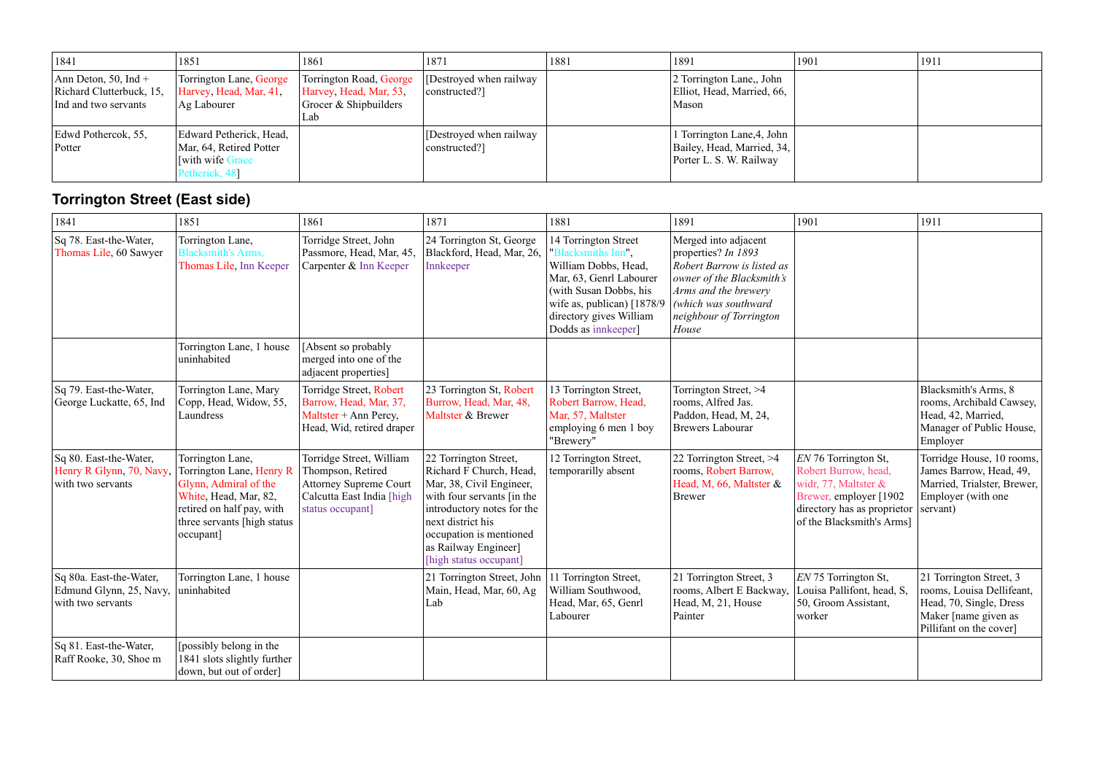| 1841                                                                     | 1851                                                                                           | 1861                                                                               | 1871                                      | 1881 | 1891                                                                                | 1901 | 1911 |
|--------------------------------------------------------------------------|------------------------------------------------------------------------------------------------|------------------------------------------------------------------------------------|-------------------------------------------|------|-------------------------------------------------------------------------------------|------|------|
| Ann Deton, 50, Ind +<br>Richard Clutterbuck, 15,<br>Ind and two servants | Torrington Lane, George<br>Harvey, Head, Mar, 41,<br>Ag Labourer                               | Torrington Road, George<br>Harvey, Head, Mar, 53,<br>Grocer & Shipbuilders<br>Lab. | [Destroyed when railway]<br> constructed? |      | 2 Torrington Lane,, John<br>Elliot, Head, Married, 66,<br>Mason                     |      |      |
| Edwd Pothercok, 55,<br>Potter                                            | Edward Petherick, Head,<br>Mar, 64, Retired Potter<br><b>With wife Grace</b><br>Petherick, 48] |                                                                                    | [Destroyed when railway]<br>constructed?] |      | l Torrington Lane, 4, John<br>Bailey, Head, Married, 34,<br>Porter L. S. W. Railway |      |      |

## **Torrington Street (East side)**

| 1841                                                                    | 1851                                                                                                                                                                    | 1861                                                                                                                            | 1871                                                                                                                                                                                                                                       | 1881                                                                                                                                                                                                    | 1891                                                                                                                                                                                       | 1901                                                                                                                                                        | 1911                                                                                                                               |
|-------------------------------------------------------------------------|-------------------------------------------------------------------------------------------------------------------------------------------------------------------------|---------------------------------------------------------------------------------------------------------------------------------|--------------------------------------------------------------------------------------------------------------------------------------------------------------------------------------------------------------------------------------------|---------------------------------------------------------------------------------------------------------------------------------------------------------------------------------------------------------|--------------------------------------------------------------------------------------------------------------------------------------------------------------------------------------------|-------------------------------------------------------------------------------------------------------------------------------------------------------------|------------------------------------------------------------------------------------------------------------------------------------|
| Sq 78. East-the-Water,<br>Thomas Lile, 60 Sawyer                        | Torrington Lane,<br><b>Blacksmith's Arms,</b><br>Thomas Lile, Inn Keeper                                                                                                | Torridge Street, John<br>Passmore, Head, Mar, 45,<br>Carpenter & Inn Keeper                                                     | 24 Torrington St, George<br>Blackford, Head, Mar, 26,<br>Innkeeper                                                                                                                                                                         | 14 Torrington Street<br>"Blacksmiths Inn",<br>William Dobbs, Head,<br>Mar, 63, Genrl Labourer<br>(with Susan Dobbs, his<br>wife as, publican) [1878/9<br>directory gives William<br>Dodds as innkeeper] | Merged into adjacent<br>properties? In 1893<br>Robert Barrow is listed as<br>owner of the Blacksmith's<br>Arms and the brewery<br>(which was southward<br>neighbour of Torrington<br>House |                                                                                                                                                             |                                                                                                                                    |
|                                                                         | Torrington Lane, 1 house<br>uninhabited                                                                                                                                 | [Absent so probably]<br>merged into one of the<br>adjacent properties]                                                          |                                                                                                                                                                                                                                            |                                                                                                                                                                                                         |                                                                                                                                                                                            |                                                                                                                                                             |                                                                                                                                    |
| Sq 79. East-the-Water,<br>George Luckatte, 65, Ind                      | Torrington Lane, Mary<br>Copp, Head, Widow, 55,<br>Laundress                                                                                                            | Torridge Street, Robert<br>Barrow, Head, Mar, 37,<br>Maltster + Ann Percy,<br>Head, Wid, retired draper                         | 23 Torrington St, Robert<br>Burrow, Head, Mar, 48,<br>Maltster & Brewer                                                                                                                                                                    | 13 Torrington Street,<br>Robert Barrow, Head,<br>Mar, 57, Maltster<br>employing 6 men 1 boy<br>"Brewery"                                                                                                | Torrington Street, >4<br>rooms, Alfred Jas.<br>Paddon, Head, M, 24,<br><b>Brewers Labourar</b>                                                                                             |                                                                                                                                                             | Blacksmith's Arms, 8<br>rooms, Archibald Cawsey,<br>Head, 42, Married,<br>Manager of Public House,<br>Employer                     |
| Sq 80. East-the-Water,<br>Henry R Glynn, 70, Navy,<br>with two servants | Torrington Lane,<br>Torrington Lane, Henry R<br>Glynn, Admiral of the<br>White, Head, Mar, 82,<br>retired on half pay, with<br>three servants [high status<br>occupant] | Torridge Street, William<br>Thompson, Retired<br><b>Attorney Supreme Court</b><br>Calcutta East India [high<br>status occupant] | 22 Torrington Street,<br>Richard F Church, Head,<br>Mar, 38, Civil Engineer,<br>with four servants [in the<br>introductory notes for the<br>next district his<br>occupation is mentioned<br>as Railway Engineer]<br>[high status occupant] | 12 Torrington Street,<br>temporarilly absent                                                                                                                                                            | 22 Torrington Street, >4<br>rooms, Robert Barrow,<br>Head, M, 66, Maltster &<br><b>Brewer</b>                                                                                              | EN 76 Torrington St,<br>Robert Burrow, head,<br>widr, 77, Maltster &<br>Brewer, employer [1902]<br>directory has as proprietor<br>of the Blacksmith's Arms] | Torridge House, 10 rooms,<br>James Barrow, Head, 49,<br>Married, Trialster, Brewer,<br>Employer (with one<br>servant)              |
| Sq 80a. East-the-Water,<br>Edmund Glynn, 25, Navy,<br>with two servants | Torrington Lane, 1 house<br>uninhabited                                                                                                                                 |                                                                                                                                 | 21 Torrington Street, John<br>Main, Head, Mar, 60, Ag<br>Lab                                                                                                                                                                               | 11 Torrington Street,<br>William Southwood,<br>Head, Mar, 65, Genrl<br>Labourer                                                                                                                         | 21 Torrington Street, 3<br>rooms, Albert E Backway,<br>Head, M, 21, House<br>Painter                                                                                                       | EN 75 Torrington St,<br>Louisa Pallifont, head, S,<br>50, Groom Assistant,<br>worker                                                                        | 21 Torrington Street, 3<br>rooms, Louisa Dellifeant,<br>Head, 70, Single, Dress<br>Maker [name given as<br>Pillifant on the cover] |
| Sq 81. East-the-Water,<br>Raff Rooke, 30, Shoe m                        | [possibly belong in the<br>1841 slots slightly further<br>down, but out of order]                                                                                       |                                                                                                                                 |                                                                                                                                                                                                                                            |                                                                                                                                                                                                         |                                                                                                                                                                                            |                                                                                                                                                             |                                                                                                                                    |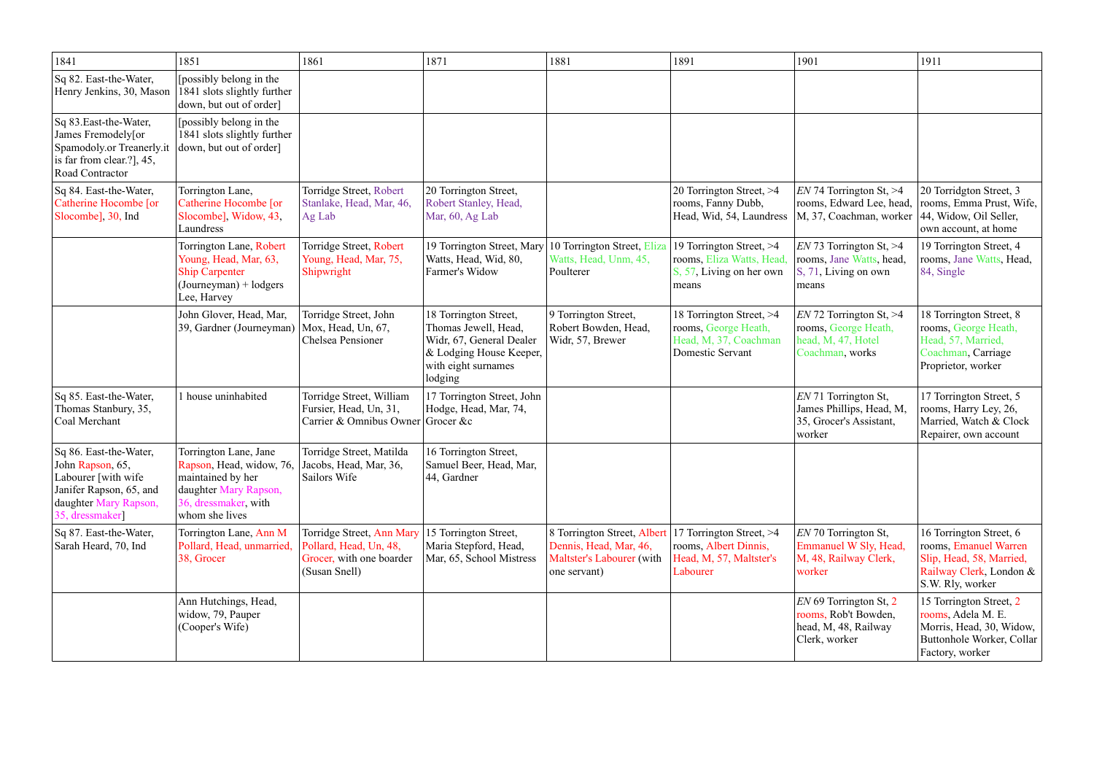| 1841                                                                                                                                      | 1851                                                                                                                                      | 1861                                                                                             | 1871                                                                                                                                   | 1881                                                                                               | 1891                                                                                          | 1901                                                                                       | 1911                                                                                                                        |
|-------------------------------------------------------------------------------------------------------------------------------------------|-------------------------------------------------------------------------------------------------------------------------------------------|--------------------------------------------------------------------------------------------------|----------------------------------------------------------------------------------------------------------------------------------------|----------------------------------------------------------------------------------------------------|-----------------------------------------------------------------------------------------------|--------------------------------------------------------------------------------------------|-----------------------------------------------------------------------------------------------------------------------------|
| Sq 82. East-the-Water,<br>Henry Jenkins, 30, Mason                                                                                        | [possibly belong in the<br>1841 slots slightly further<br>down, but out of order]                                                         |                                                                                                  |                                                                                                                                        |                                                                                                    |                                                                                               |                                                                                            |                                                                                                                             |
| Sq 83. East-the-Water,<br>James Fremodely[or<br>Spamodoly.or Treanerly.it<br>is far from clear.?], 45,<br>Road Contractor                 | [possibly belong in the<br>1841 slots slightly further<br>down, but out of order]                                                         |                                                                                                  |                                                                                                                                        |                                                                                                    |                                                                                               |                                                                                            |                                                                                                                             |
| Sq 84. East-the-Water,<br>Catherine Hocombe [or<br>Slocombe], 30, Ind                                                                     | Torrington Lane,<br>Catherine Hocombe [or<br>Slocombe], Widow, 43,<br>Laundress                                                           | Torridge Street, Robert<br>Stanlake, Head, Mar, 46,<br>Ag Lab                                    | 20 Torrington Street,<br>Robert Stanley, Head,<br>Mar, 60, Ag Lab                                                                      |                                                                                                    | 20 Torrington Street, >4<br>rooms, Fanny Dubb,<br>Head, Wid, 54, Laundress                    | $EN$ 74 Torrington St, $>4$<br>rooms, Edward Lee, head,<br>M, 37, Coachman, worker         | 20 Torridgton Street, 3<br>rooms, Emma Prust, Wife,<br>44, Widow, Oil Seller,<br>own account, at home                       |
|                                                                                                                                           | Torrington Lane, Robert<br>Young, Head, Mar, 63,<br><b>Ship Carpenter</b><br>$(Journeyman) + lodgers$<br>Lee, Harvey                      | Torridge Street, Robert<br>Young, Head, Mar, 75,<br>Shipwright                                   | 19 Torrington Street, Mary<br>Watts, Head, Wid, 80,<br>Farmer's Widow                                                                  | 10 Torrington Street, Eliza<br>Watts, Head, Unm, 45,<br>Poulterer                                  | 19 Torrington Street, >4<br>rooms, Eliza Watts, Head,<br>S, 57, Living on her own<br>means    | $EN$ 73 Torrington St, >4<br>rooms, Jane Watts, head,<br>S, 71, Living on own<br>means     | 19 Torrington Street, 4<br>rooms, Jane Watts, Head,<br>84, Single                                                           |
|                                                                                                                                           | John Glover, Head, Mar,<br>39, Gardner (Journeyman)                                                                                       | Torridge Street, John<br>$\vert$ Mox, Head, Un, 67,<br>Chelsea Pensioner                         | 18 Torrington Street,<br>Thomas Jewell, Head,<br>Widr, 67, General Dealer<br>& Lodging House Keeper,<br>with eight surnames<br>lodging | 9 Torrington Street,<br>Robert Bowden, Head,<br>Widr, 57, Brewer                                   | 18 Torrington Street, >4<br>rooms, George Heath,<br>Head, M, 37, Coachman<br>Domestic Servant | $EN$ 72 Torrington St, >4<br>rooms, George Heath,<br>head, M, 47, Hotel<br>Coachman, works | 18 Torrington Street, 8<br>rooms, George Heath,<br>Head, 57, Married,<br>Coachman, Carriage<br>Proprietor, worker           |
| Sq 85. East-the-Water,<br>Thomas Stanbury, 35,<br>Coal Merchant                                                                           | 1 house uninhabited                                                                                                                       | Torridge Street, William<br>Fursier, Head, Un, 31,<br>Carrier & Omnibus Owner Grocer &c          | 17 Torrington Street, John<br>Hodge, Head, Mar, 74,                                                                                    |                                                                                                    |                                                                                               | EN 71 Torrington St,<br>James Phillips, Head, M,<br>35, Grocer's Assistant,<br>worker      | 17 Torrington Street, 5<br>rooms, Harry Ley, 26,<br>Married, Watch & Clock<br>Repairer, own account                         |
| Sq 86. East-the-Water,<br>John Rapson, 65,<br>Labourer [with wife]<br>Janifer Rapson, 65, and<br>daughter Mary Rapson,<br>35, dressmaker] | Torrington Lane, Jane<br>Rapson, Head, widow, 76,<br>maintained by her<br>daughter Mary Rapson,<br>36, dressmaker, with<br>whom she lives | Torridge Street, Matilda<br>Jacobs, Head, Mar, 36,<br>Sailors Wife                               | 16 Torrington Street,<br>Samuel Beer, Head, Mar,<br>44, Gardner                                                                        |                                                                                                    |                                                                                               |                                                                                            |                                                                                                                             |
| Sq 87. East-the-Water,<br>Sarah Heard, 70, Ind                                                                                            | Torrington Lane, Ann M<br>Pollard, Head, unmarried,<br>38, Grocer                                                                         | Torridge Street, Ann Mary<br>Pollard, Head, Un, 48,<br>Grocer, with one boarder<br>(Susan Snell) | 15 Torrington Street,<br>Maria Stepford, Head,<br>Mar, 65, School Mistress                                                             | 8 Torrington Street, Albert<br>Dennis, Head, Mar, 46,<br>Maltster's Labourer (with<br>one servant) | 17 Torrington Street, >4<br>rooms, Albert Dinnis,<br>Head, M, 57, Maltster's<br>Labourer      | EN 70 Torrington St,<br>Emmanuel W Sly, Head,<br>M, 48, Railway Clerk,<br>worker           | 16 Torrington Street, 6<br>rooms, Emanuel Warren<br>Slip, Head, 58, Married,<br>Railway Clerk, London &<br>S.W. Rly, worker |
|                                                                                                                                           | Ann Hutchings, Head,<br>widow, 79, Pauper<br>(Cooper's Wife)                                                                              |                                                                                                  |                                                                                                                                        |                                                                                                    |                                                                                               | $EN$ 69 Torrington St, 2<br>rooms, Rob't Bowden,<br>head, M, 48, Railway<br>Clerk, worker  | 15 Torrington Street, 2<br>rooms, Adela M. E.<br>Morris, Head, 30, Widow,<br>Buttonhole Worker, Collar<br>Factory, worker   |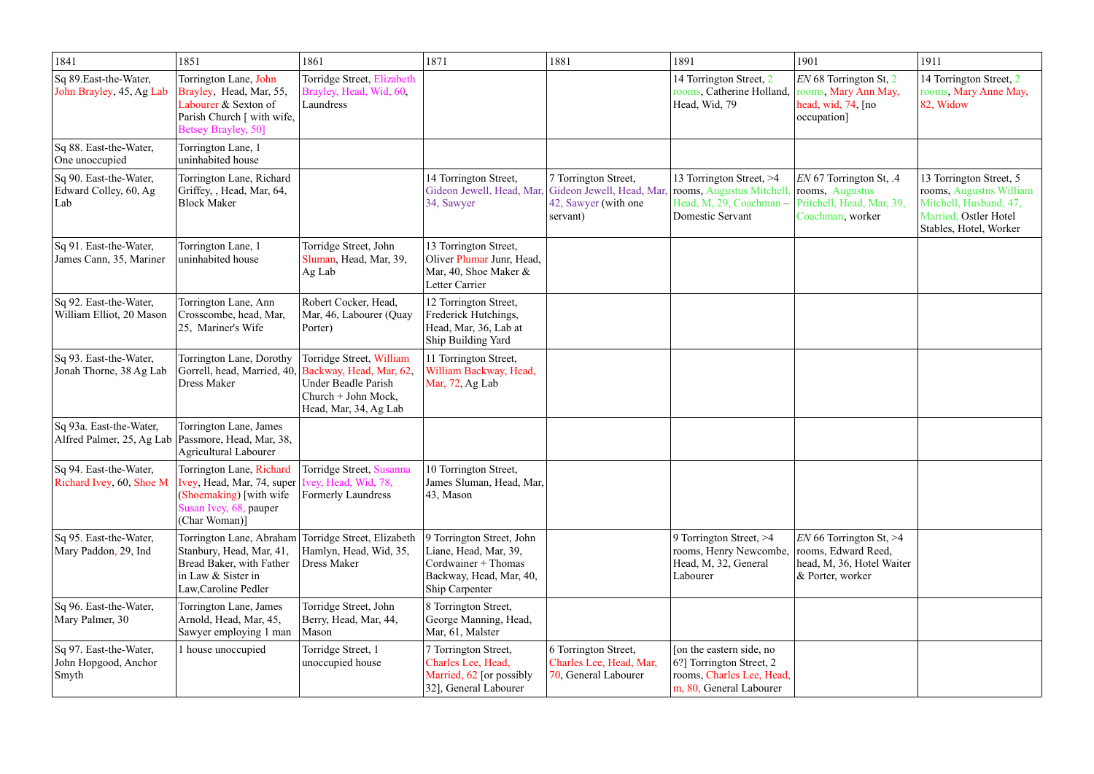| 1841                                                    | 1851                                                                                                                           | 1861                                                                                            | 1871                                                                                                                   | 1881                                                                                                            | 1891                                                                                                         | 1901                                                                                              | 1911                                                                                                                            |
|---------------------------------------------------------|--------------------------------------------------------------------------------------------------------------------------------|-------------------------------------------------------------------------------------------------|------------------------------------------------------------------------------------------------------------------------|-----------------------------------------------------------------------------------------------------------------|--------------------------------------------------------------------------------------------------------------|---------------------------------------------------------------------------------------------------|---------------------------------------------------------------------------------------------------------------------------------|
| Sq 89. East-the-Water,<br>John Brayley, 45, Ag Lab      | Torrington Lane, John<br>Brayley, Head, Mar, 55,<br>Labourer & Sexton of<br>Parish Church [ with wife,<br>Betsey Brayley, 50]  | Torridge Street, Elizabeth<br>Brayley, Head, Wid, 60,<br>Laundress                              |                                                                                                                        |                                                                                                                 | 14 Torrington Street, 2<br>rooms, Catherine Holland,<br>Head, Wid, 79                                        | EN 68 Torrington St, 2<br>rooms, Mary Ann May,<br>head, wid, 74, [no<br>occupation]               | 14 Torrington Street, 2<br>rooms, Mary Anne May,<br>82, Widow                                                                   |
| Sq 88. East-the-Water,<br>One unoccupied                | Torrington Lane, 1<br>uninhabited house                                                                                        |                                                                                                 |                                                                                                                        |                                                                                                                 |                                                                                                              |                                                                                                   |                                                                                                                                 |
| Sq 90. East-the-Water,<br>Edward Colley, 60, Ag<br>Lab  | Torrington Lane, Richard<br>Griffey, , Head, Mar, 64,<br><b>Block Maker</b>                                                    |                                                                                                 | 14 Torrington Street,<br>Gideon Jewell, Head, Mar,<br>34, Sawyer                                                       | 7 Torrington Street,<br>Gideon Jewell, Head, Mar, rooms, Augustus Mitchell,<br>42, Sawyer (with one<br>servant) | 13 Torrington Street, >4<br>Head, M, 29, Coachman -<br>Domestic Servant                                      | EN 67 Torrington St, .4<br>rooms, Augustus<br>Pritchell, Head, Mar, 39,<br>Coachman, worker       | 13 Torrington Street, 5<br>rooms, Augustus William<br>Mitchell, Husband, 47,<br>Married, Ostler Hotel<br>Stables, Hotel, Worker |
| Sq 91. East-the-Water,<br>James Cann, 35, Mariner       | Torrington Lane, 1<br>uninhabited house                                                                                        | Torridge Street, John<br>Sluman, Head, Mar, 39,<br>Ag Lab                                       | 13 Torrington Street,<br>Oliver Plumar Junr, Head,<br>Mar, 40, Shoe Maker &<br>Letter Carrier                          |                                                                                                                 |                                                                                                              |                                                                                                   |                                                                                                                                 |
| Sq 92. East-the-Water,<br>William Elliot, 20 Mason      | Torrington Lane, Ann<br>Crosscombe, head, Mar,<br>25, Mariner's Wife                                                           | Robert Cocker, Head,<br>Mar, 46, Labourer (Quay<br>Porter)                                      | 12 Torrington Street,<br>Frederick Hutchings,<br>Head, Mar, 36, Lab at<br>Ship Building Yard                           |                                                                                                                 |                                                                                                              |                                                                                                   |                                                                                                                                 |
| Sq 93. East-the-Water,<br>Jonah Thorne, 38 Ag Lab       | Torrington Lane, Dorothy<br>Gorrell, head, Married, 40, Backway, Head, Mar, 62,<br><b>Dress Maker</b>                          | Torridge Street, William<br>Under Beadle Parish<br>Church + John Mock,<br>Head, Mar, 34, Ag Lab | 11 Torrington Street,<br>William Backway, Head,<br>Mar, 72, Ag Lab                                                     |                                                                                                                 |                                                                                                              |                                                                                                   |                                                                                                                                 |
| Sq 93a. East-the-Water,<br>Alfred Palmer, 25, Ag Lab    | Torrington Lane, James<br>Passmore, Head, Mar, 38,<br><b>Agricultural Labourer</b>                                             |                                                                                                 |                                                                                                                        |                                                                                                                 |                                                                                                              |                                                                                                   |                                                                                                                                 |
| Sq 94. East-the-Water,<br>Richard Ivey, 60, Shoe M      | Torrington Lane, Richard<br>Ivey, Head, Mar, 74, super<br>(Shoemaking) [with wife<br>Susan Ivey, 68, pauper<br>(Char Woman)]   | Torridge Street, Susanna<br>ey, Head, Wid, 78,<br><b>Formerly Laundress</b>                     | 10 Torrington Street,<br>James Sluman, Head, Mar,<br>43, Mason                                                         |                                                                                                                 |                                                                                                              |                                                                                                   |                                                                                                                                 |
| Sq 95. East-the-Water,<br>Mary Paddon, 29, Ind          | Torrington Lane, Abraham<br>Stanbury, Head, Mar, 41,<br>Bread Baker, with Father<br>in Law & Sister in<br>Law, Caroline Pedler | Torridge Street, Elizabeth<br>Hamlyn, Head, Wid, 35,<br><b>Dress Maker</b>                      | 9 Torrington Street, John<br>Liane, Head, Mar, 39,<br>Cordwainer + Thomas<br>Backway, Head, Mar, 40,<br>Ship Carpenter |                                                                                                                 | 9 Torrington Street, >4<br>rooms, Henry Newcombe,<br>Head, M, 32, General<br>Labourer                        | $EN$ 66 Torrington St, >4<br>rooms, Edward Reed,<br>head, M, 36, Hotel Waiter<br>& Porter, worker |                                                                                                                                 |
| Sq 96. East-the-Water,<br>Mary Palmer, 30               | Torrington Lane, James<br>Arnold, Head, Mar, 45,<br>Sawyer employing 1 man                                                     | Torridge Street, John<br>Berry, Head, Mar, 44,<br>Mason                                         | 8 Torrington Street,<br>George Manning, Head,<br>Mar, 61, Malster                                                      |                                                                                                                 |                                                                                                              |                                                                                                   |                                                                                                                                 |
| Sq 97. East-the-Water,<br>John Hopgood, Anchor<br>Smyth | 1 house unoccupied                                                                                                             | Torridge Street, 1<br>unoccupied house                                                          | 7 Torrington Street,<br>Charles Lee, Head,<br>Married, 62 [or possibly<br>32], General Labourer                        | 6 Torrington Street,<br>Charles Lee, Head, Mar,<br>70, General Labourer                                         | [on the eastern side, no<br>6?] Torrington Street, 2<br>rooms, Charles Lee, Head,<br>m, 80, General Labourer |                                                                                                   |                                                                                                                                 |